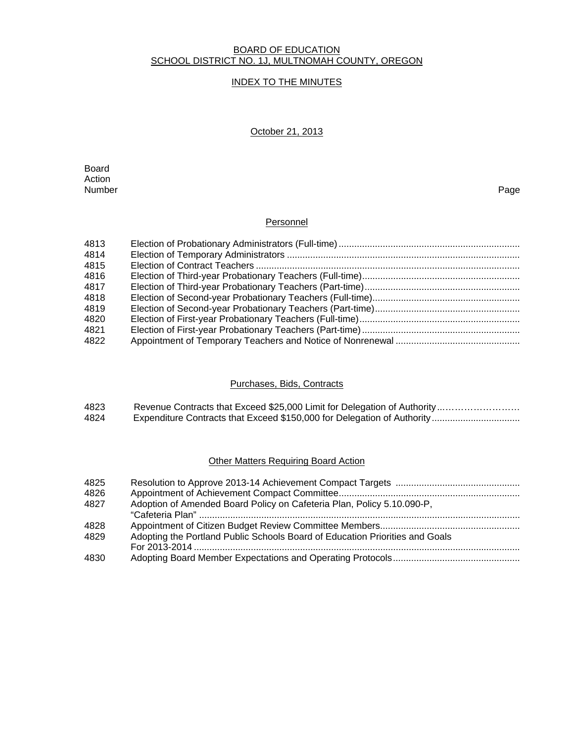#### BOARD OF EDUCATION SCHOOL DISTRICT NO. 1J, MULTNOMAH COUNTY, OREGON

# INDEX TO THE MINUTES

# October 21, 2013

**Board Board** Action<br>Number Number Page

### Personnel

| 4813 |  |
|------|--|
| 4814 |  |
| 4815 |  |
| 4816 |  |
| 4817 |  |
| 4818 |  |
| 4819 |  |
| 4820 |  |
| 4821 |  |
| 4822 |  |

### Purchases, Bids, Contracts

| 4823 | Revenue Contracts that Exceed \$25,000 Limit for Delegation of Authority |
|------|--------------------------------------------------------------------------|
| 4824 |                                                                          |

# **Other Matters Requiring Board Action**

| 4825 |                                                                              |
|------|------------------------------------------------------------------------------|
| 4826 |                                                                              |
| 4827 | Adoption of Amended Board Policy on Cafeteria Plan, Policy 5.10.090-P,       |
|      |                                                                              |
| 4828 |                                                                              |
| 4829 | Adopting the Portland Public Schools Board of Education Priorities and Goals |
|      |                                                                              |
| 4830 |                                                                              |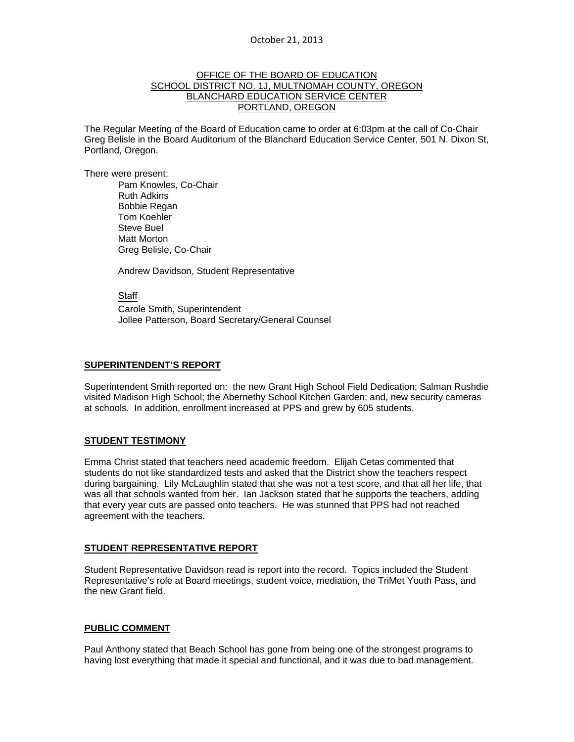### OFFICE OF THE BOARD OF EDUCATION SCHOOL DISTRICT NO. 1J, MULTNOMAH COUNTY, OREGON BLANCHARD EDUCATION SERVICE CENTER PORTLAND, OREGON

The Regular Meeting of the Board of Education came to order at 6:03pm at the call of Co-Chair Greg Belisle in the Board Auditorium of the Blanchard Education Service Center, 501 N. Dixon St, Portland, Oregon.

There were present: Pam Knowles, Co-Chair Ruth Adkins Bobbie Regan Tom Koehler Steve Buel Matt Morton Greg Belisle, Co-Chair

Andrew Davidson, Student Representative

Staff Carole Smith, Superintendent Jollee Patterson, Board Secretary/General Counsel

#### **SUPERINTENDENT'S REPORT**

Superintendent Smith reported on: the new Grant High School Field Dedication; Salman Rushdie visited Madison High School; the Abernethy School Kitchen Garden; and, new security cameras at schools. In addition, enrollment increased at PPS and grew by 605 students.

# **STUDENT TESTIMONY**

Emma Christ stated that teachers need academic freedom. Elijah Cetas commented that students do not like standardized tests and asked that the District show the teachers respect during bargaining. Lily McLaughlin stated that she was not a test score, and that all her life, that was all that schools wanted from her. Ian Jackson stated that he supports the teachers, adding that every year cuts are passed onto teachers. He was stunned that PPS had not reached agreement with the teachers.

# **STUDENT REPRESENTATIVE REPORT**

Student Representative Davidson read is report into the record. Topics included the Student Representative's role at Board meetings, student voice, mediation, the TriMet Youth Pass, and the new Grant field.

#### **PUBLIC COMMENT**

Paul Anthony stated that Beach School has gone from being one of the strongest programs to having lost everything that made it special and functional, and it was due to bad management.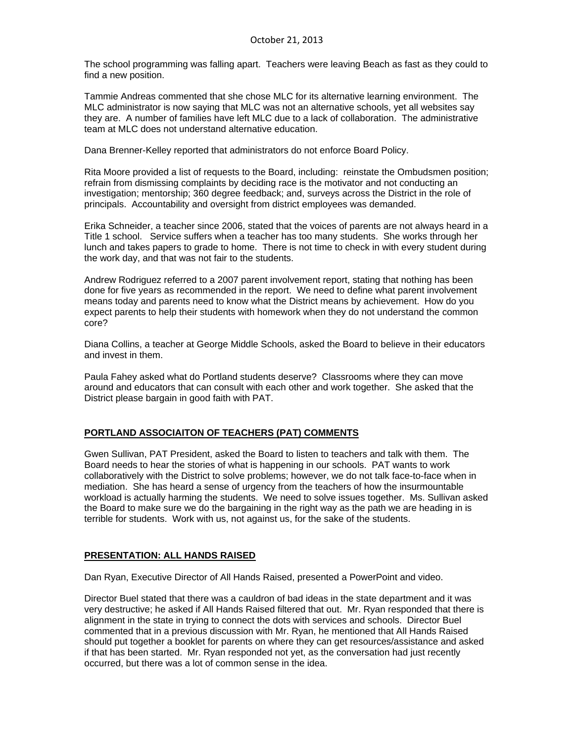The school programming was falling apart. Teachers were leaving Beach as fast as they could to find a new position.

Tammie Andreas commented that she chose MLC for its alternative learning environment. The MLC administrator is now saying that MLC was not an alternative schools, yet all websites say they are. A number of families have left MLC due to a lack of collaboration. The administrative team at MLC does not understand alternative education.

Dana Brenner-Kelley reported that administrators do not enforce Board Policy.

Rita Moore provided a list of requests to the Board, including: reinstate the Ombudsmen position; refrain from dismissing complaints by deciding race is the motivator and not conducting an investigation; mentorship; 360 degree feedback; and, surveys across the District in the role of principals. Accountability and oversight from district employees was demanded.

Erika Schneider, a teacher since 2006, stated that the voices of parents are not always heard in a Title 1 school. Service suffers when a teacher has too many students. She works through her lunch and takes papers to grade to home. There is not time to check in with every student during the work day, and that was not fair to the students.

Andrew Rodriguez referred to a 2007 parent involvement report, stating that nothing has been done for five years as recommended in the report. We need to define what parent involvement means today and parents need to know what the District means by achievement. How do you expect parents to help their students with homework when they do not understand the common core?

Diana Collins, a teacher at George Middle Schools, asked the Board to believe in their educators and invest in them.

Paula Fahey asked what do Portland students deserve? Classrooms where they can move around and educators that can consult with each other and work together. She asked that the District please bargain in good faith with PAT.

#### **PORTLAND ASSOCIAITON OF TEACHERS (PAT) COMMENTS**

Gwen Sullivan, PAT President, asked the Board to listen to teachers and talk with them. The Board needs to hear the stories of what is happening in our schools. PAT wants to work collaboratively with the District to solve problems; however, we do not talk face-to-face when in mediation. She has heard a sense of urgency from the teachers of how the insurmountable workload is actually harming the students. We need to solve issues together. Ms. Sullivan asked the Board to make sure we do the bargaining in the right way as the path we are heading in is terrible for students. Work with us, not against us, for the sake of the students.

#### **PRESENTATION: ALL HANDS RAISED**

Dan Ryan, Executive Director of All Hands Raised, presented a PowerPoint and video.

Director Buel stated that there was a cauldron of bad ideas in the state department and it was very destructive; he asked if All Hands Raised filtered that out. Mr. Ryan responded that there is alignment in the state in trying to connect the dots with services and schools. Director Buel commented that in a previous discussion with Mr. Ryan, he mentioned that All Hands Raised should put together a booklet for parents on where they can get resources/assistance and asked if that has been started. Mr. Ryan responded not yet, as the conversation had just recently occurred, but there was a lot of common sense in the idea.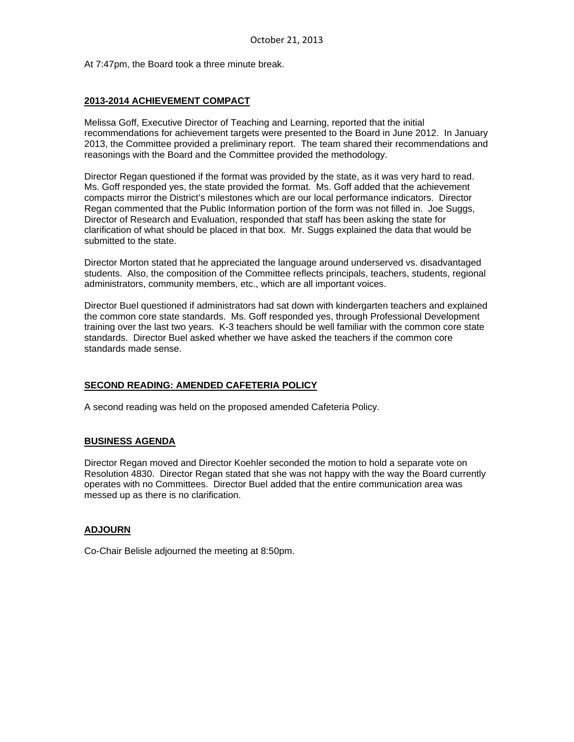At 7:47pm, the Board took a three minute break.

### **2013-2014 ACHIEVEMENT COMPACT**

Melissa Goff, Executive Director of Teaching and Learning, reported that the initial recommendations for achievement targets were presented to the Board in June 2012. In January 2013, the Committee provided a preliminary report. The team shared their recommendations and reasonings with the Board and the Committee provided the methodology.

Director Regan questioned if the format was provided by the state, as it was very hard to read. Ms. Goff responded yes, the state provided the format. Ms. Goff added that the achievement compacts mirror the District's milestones which are our local performance indicators. Director Regan commented that the Public Information portion of the form was not filled in. Joe Suggs, Director of Research and Evaluation, responded that staff has been asking the state for clarification of what should be placed in that box. Mr. Suggs explained the data that would be submitted to the state.

Director Morton stated that he appreciated the language around underserved vs. disadvantaged students. Also, the composition of the Committee reflects principals, teachers, students, regional administrators, community members, etc., which are all important voices.

Director Buel questioned if administrators had sat down with kindergarten teachers and explained the common core state standards. Ms. Goff responded yes, through Professional Development training over the last two years. K-3 teachers should be well familiar with the common core state standards. Director Buel asked whether we have asked the teachers if the common core standards made sense.

# **SECOND READING: AMENDED CAFETERIA POLICY**

A second reading was held on the proposed amended Cafeteria Policy.

#### **BUSINESS AGENDA**

Director Regan moved and Director Koehler seconded the motion to hold a separate vote on Resolution 4830. Director Regan stated that she was not happy with the way the Board currently operates with no Committees. Director Buel added that the entire communication area was messed up as there is no clarification.

#### **ADJOURN**

Co-Chair Belisle adjourned the meeting at 8:50pm.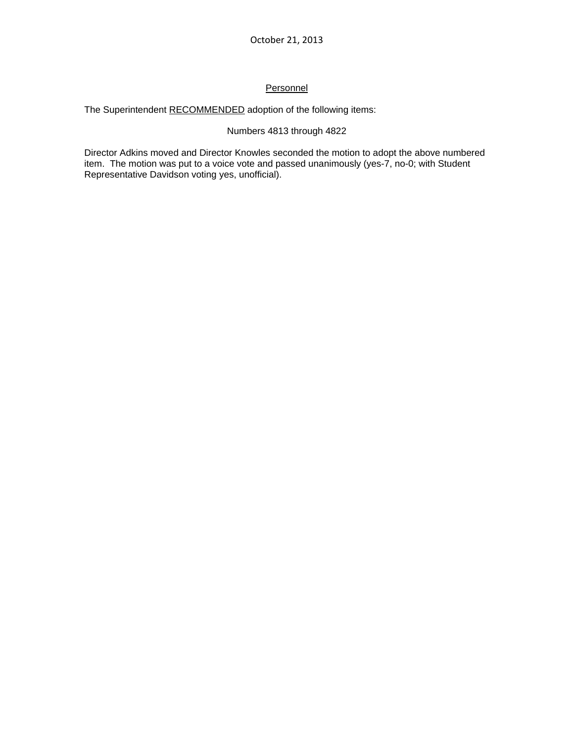# Personnel

The Superintendent RECOMMENDED adoption of the following items:

# Numbers 4813 through 4822

Director Adkins moved and Director Knowles seconded the motion to adopt the above numbered item. The motion was put to a voice vote and passed unanimously (yes-7, no-0; with Student Representative Davidson voting yes, unofficial).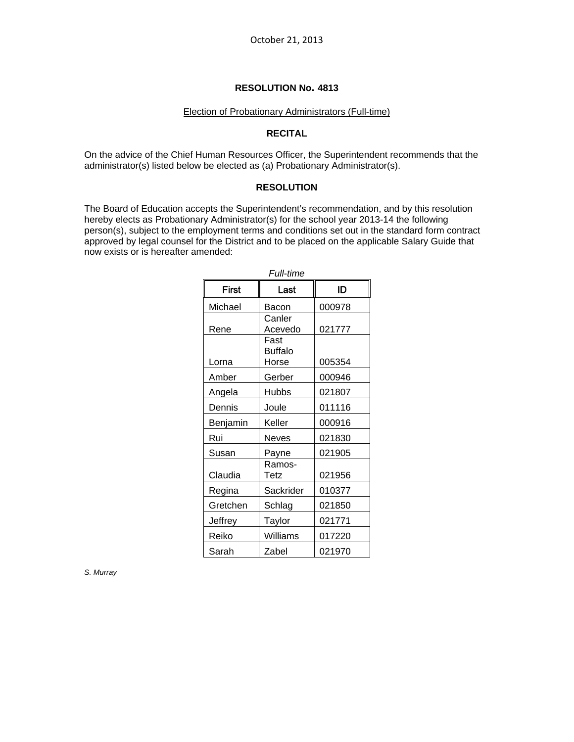#### Election of Probationary Administrators (Full-time)

#### **RECITAL**

On the advice of the Chief Human Resources Officer, the Superintendent recommends that the administrator(s) listed below be elected as (a) Probationary Administrator(s).

#### **RESOLUTION**

The Board of Education accepts the Superintendent's recommendation, and by this resolution hereby elects as Probationary Administrator(s) for the school year 2013-14 the following person(s), subject to the employment terms and conditions set out in the standard form contract approved by legal counsel for the District and to be placed on the applicable Salary Guide that now exists or is hereafter amended:

| <i><b>Full-time</b></i> |                                 |        |  |
|-------------------------|---------------------------------|--------|--|
| First                   | Last                            | ID     |  |
| Michael                 | Bacon                           | 000978 |  |
| Rene                    | Canler<br>Acevedo               | 021777 |  |
| Lorna                   | Fast<br><b>Buffalo</b><br>Horse | 005354 |  |
| Amber                   | Gerber                          | 000946 |  |
| Angela                  | <b>Hubbs</b>                    | 021807 |  |
| Dennis                  | Joule                           | 011116 |  |
| Benjamin                | Keller                          | 000916 |  |
| Rui                     | <b>Neves</b>                    | 021830 |  |
| Susan                   | Payne                           | 021905 |  |
| Claudia                 | Ramos-<br>Tetz                  | 021956 |  |
| Regina                  | Sackrider                       | 010377 |  |
| Gretchen                | Schlag                          | 021850 |  |
| Jeffrey                 | Taylor                          | 021771 |  |
| Reiko                   | Williams                        | 017220 |  |
| Sarah                   | Zabel                           | 021970 |  |

*S. Murray*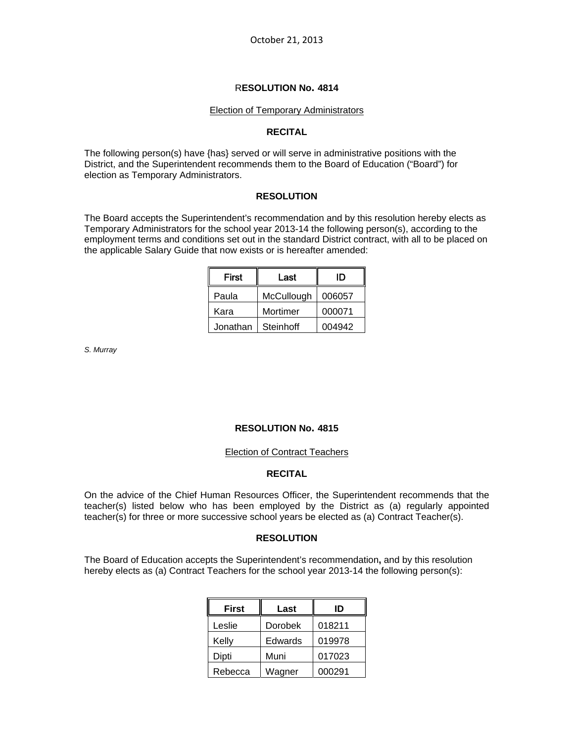#### Election of Temporary Administrators

#### **RECITAL**

The following person(s) have {has} served or will serve in administrative positions with the District, and the Superintendent recommends them to the Board of Education ("Board") for election as Temporary Administrators.

#### **RESOLUTION**

The Board accepts the Superintendent's recommendation and by this resolution hereby elects as Temporary Administrators for the school year 2013-14 the following person(s), according to the employment terms and conditions set out in the standard District contract, with all to be placed on the applicable Salary Guide that now exists or is hereafter amended:

| First    | Last       | ID     |
|----------|------------|--------|
| Paula    | McCullough | 006057 |
| Kara     | Mortimer   | 000071 |
| Jonathan | Steinhoff  | 004942 |

*S. Murray* 

#### **RESOLUTION No. 4815**

#### Election of Contract Teachers

# **RECITAL**

On the advice of the Chief Human Resources Officer, the Superintendent recommends that the teacher(s) listed below who has been employed by the District as (a) regularly appointed teacher(s) for three or more successive school years be elected as (a) Contract Teacher(s).

#### **RESOLUTION**

The Board of Education accepts the Superintendent's recommendation**,** and by this resolution hereby elects as (a) Contract Teachers for the school year 2013-14 the following person(s):

| <b>First</b> | Last    | ID     |
|--------------|---------|--------|
| Leslie       | Dorobek | 018211 |
| Kelly        | Edwards | 019978 |
| Dipti        | Muni    | 017023 |
| Rebecca      | Wagner  | 000291 |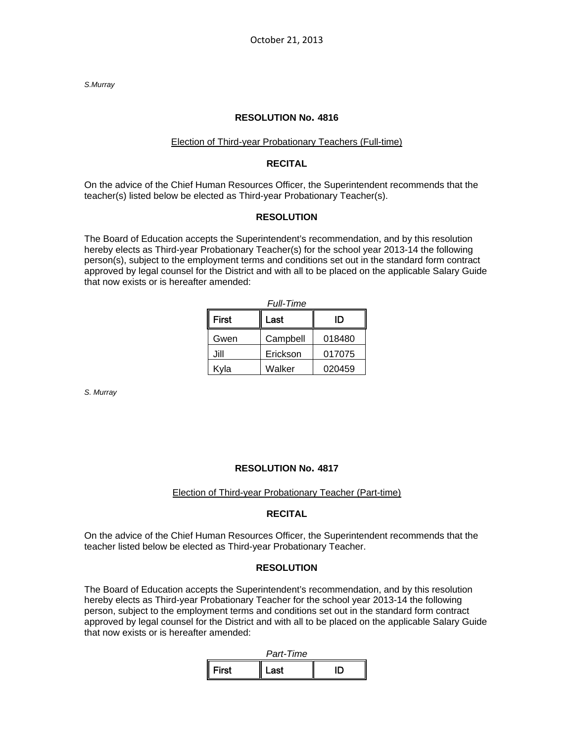*S.Murray* 

#### **RESOLUTION No. 4816**

#### Election of Third-year Probationary Teachers (Full-time)

#### **RECITAL**

On the advice of the Chief Human Resources Officer, the Superintendent recommends that the teacher(s) listed below be elected as Third-year Probationary Teacher(s).

#### **RESOLUTION**

The Board of Education accepts the Superintendent's recommendation, and by this resolution hereby elects as Third-year Probationary Teacher(s) for the school year 2013-14 the following person(s), subject to the employment terms and conditions set out in the standard form contract approved by legal counsel for the District and with all to be placed on the applicable Salary Guide that now exists or is hereafter amended:

| <i><b>Full-Time</b></i> |          |        |  |
|-------------------------|----------|--------|--|
| First                   | Last     | סו     |  |
| Gwen                    | Campbell | 018480 |  |
| Jill                    | Erickson | 017075 |  |
| Kyla                    | Walker   | 020459 |  |

*S. Murray* 

#### **RESOLUTION No. 4817**

#### Election of Third-year Probationary Teacher (Part-time)

#### **RECITAL**

On the advice of the Chief Human Resources Officer, the Superintendent recommends that the teacher listed below be elected as Third-year Probationary Teacher.

#### **RESOLUTION**

The Board of Education accepts the Superintendent's recommendation, and by this resolution hereby elects as Third-year Probationary Teacher for the school year 2013-14 the following person, subject to the employment terms and conditions set out in the standard form contract approved by legal counsel for the District and with all to be placed on the applicable Salary Guide that now exists or is hereafter amended:

| Part-Time    |       |  |
|--------------|-------|--|
| <b>First</b> | l ast |  |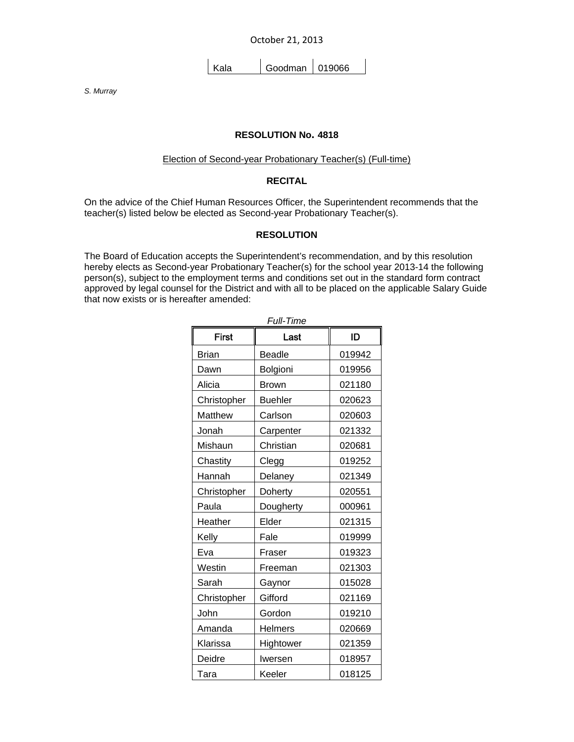October 21, 2013

Kala | Goodman | 019066

*S. Murray* 

#### **RESOLUTION No. 4818**

#### Election of Second-year Probationary Teacher(s) (Full-time)

# **RECITAL**

On the advice of the Chief Human Resources Officer, the Superintendent recommends that the teacher(s) listed below be elected as Second-year Probationary Teacher(s).

# **RESOLUTION**

The Board of Education accepts the Superintendent's recommendation, and by this resolution hereby elects as Second-year Probationary Teacher(s) for the school year 2013-14 the following person(s), subject to the employment terms and conditions set out in the standard form contract approved by legal counsel for the District and with all to be placed on the applicable Salary Guide that now exists or is hereafter amended:

| <b>Full-Time</b> |                |        |  |
|------------------|----------------|--------|--|
| <b>First</b>     | Last           | ID     |  |
| <b>Brian</b>     | <b>Beadle</b>  | 019942 |  |
| Dawn             | Bolgioni       | 019956 |  |
| Alicia           | <b>Brown</b>   | 021180 |  |
| Christopher      | <b>Buehler</b> | 020623 |  |
| Matthew          | Carlson        | 020603 |  |
| Jonah            | Carpenter      | 021332 |  |
| Mishaun          | Christian      | 020681 |  |
| Chastity         | Clegg          | 019252 |  |
| Hannah           | Delaney        | 021349 |  |
| Christopher      | Doherty        | 020551 |  |
| Paula            | Dougherty      | 000961 |  |
| Heather          | Elder          | 021315 |  |
| Kelly            | Fale           | 019999 |  |
| Eva              | Fraser         | 019323 |  |
| Westin           | Freeman        | 021303 |  |
| Sarah            | Gaynor         | 015028 |  |
| Christopher      | Gifford        | 021169 |  |
| John             | Gordon         | 019210 |  |
| Amanda           | <b>Helmers</b> | 020669 |  |
| Klarissa         | Hightower      | 021359 |  |
| Deidre           | Iwersen        | 018957 |  |
| Tara             | Keeler         | 018125 |  |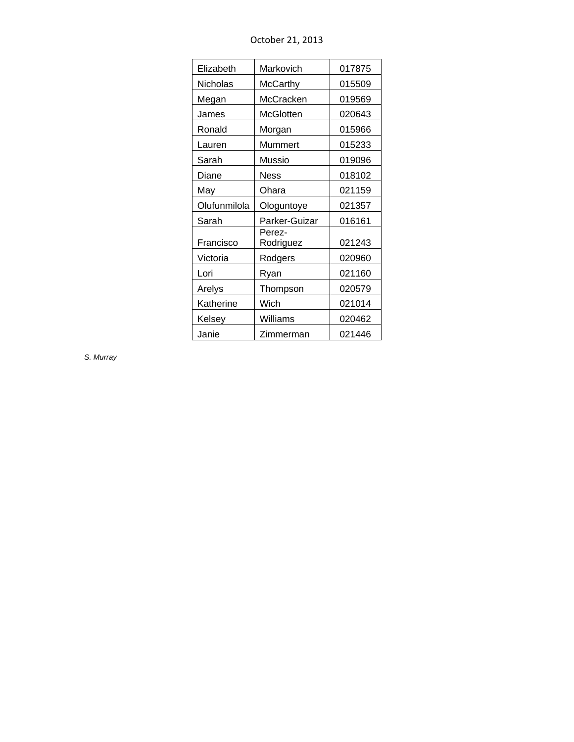| Elizabeth    | Markovich           | 017875 |
|--------------|---------------------|--------|
| Nicholas     | McCarthy            | 015509 |
| Megan        | McCracken           | 019569 |
| James        | <b>McGlotten</b>    | 020643 |
| Ronald       | Morgan              | 015966 |
| Lauren       | Mummert             | 015233 |
| Sarah        | Mussio              | 019096 |
| Diane        | Ness                | 018102 |
| May          | Ohara               | 021159 |
| Olufunmilola | Ologuntoye          | 021357 |
| Sarah        | Parker-Guizar       | 016161 |
| Francisco    | Perez-<br>Rodriguez | 021243 |
| Victoria     | Rodgers             | 020960 |
| Lori         | Ryan                | 021160 |
| Arelys       | Thompson            | 020579 |
| Katherine    | Wich                | 021014 |
| Kelsey       | Williams            | 020462 |
| Janie        | Zimmerman           | 021446 |

October 21, 2013

*S. Murray*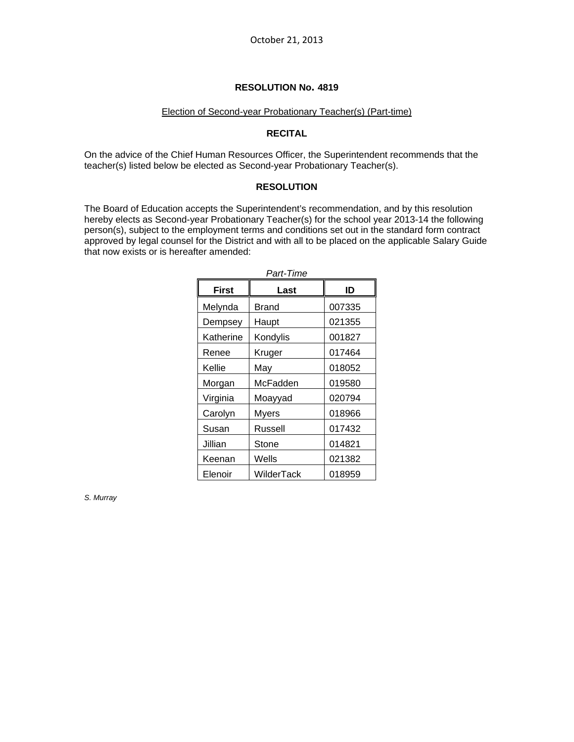#### Election of Second-year Probationary Teacher(s) (Part-time)

#### **RECITAL**

On the advice of the Chief Human Resources Officer, the Superintendent recommends that the teacher(s) listed below be elected as Second-year Probationary Teacher(s).

#### **RESOLUTION**

The Board of Education accepts the Superintendent's recommendation, and by this resolution hereby elects as Second-year Probationary Teacher(s) for the school year 2013-14 the following person(s), subject to the employment terms and conditions set out in the standard form contract approved by legal counsel for the District and with all to be placed on the applicable Salary Guide that now exists or is hereafter amended:

| Part-Time    |              |        |  |
|--------------|--------------|--------|--|
| <b>First</b> | Last         | ID     |  |
| Melynda      | Brand        | 007335 |  |
| Dempsey      | Haupt        | 021355 |  |
| Katherine    | Kondylis     | 001827 |  |
| Renee        | Kruger       | 017464 |  |
| Kellie       | May          | 018052 |  |
| Morgan       | McFadden     | 019580 |  |
| Virginia     | Moayyad      | 020794 |  |
| Carolyn      | <b>Myers</b> | 018966 |  |
| Susan        | Russell      | 017432 |  |
| Jillian      | Stone        | 014821 |  |
| Keenan       | Wells        | 021382 |  |
| Elenoir      | WilderTack   | 018959 |  |

*S. Murray*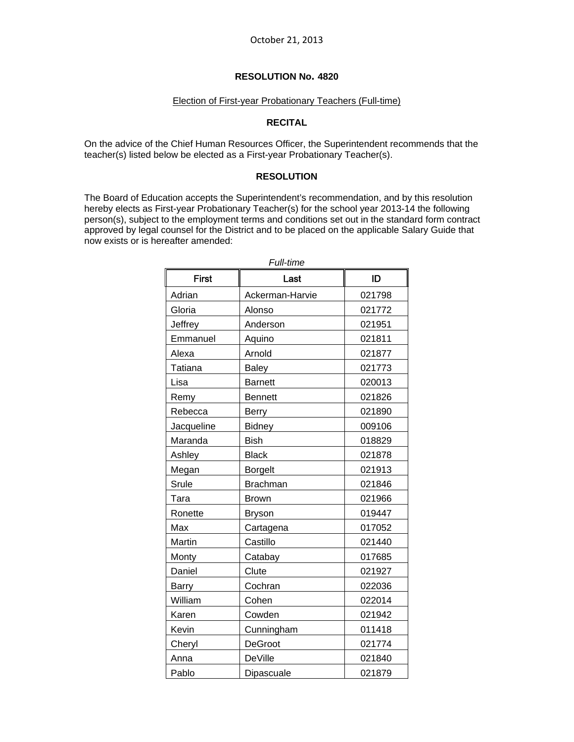#### Election of First-year Probationary Teachers (Full-time)

#### **RECITAL**

On the advice of the Chief Human Resources Officer, the Superintendent recommends that the teacher(s) listed below be elected as a First-year Probationary Teacher(s).

### **RESOLUTION**

The Board of Education accepts the Superintendent's recommendation, and by this resolution hereby elects as First-year Probationary Teacher(s) for the school year 2013-14 the following person(s), subject to the employment terms and conditions set out in the standard form contract approved by legal counsel for the District and to be placed on the applicable Salary Guide that now exists or is hereafter amended:

| <b>First</b>   | Last            | ID     |
|----------------|-----------------|--------|
| Adrian         | Ackerman-Harvie | 021798 |
| Gloria         | Alonso          | 021772 |
| Jeffrey        | Anderson        | 021951 |
| Emmanuel       | Aquino          | 021811 |
| Alexa          | Arnold          | 021877 |
| <b>Tatiana</b> | <b>Baley</b>    | 021773 |
| Lisa           | <b>Barnett</b>  | 020013 |
| Remy           | <b>Bennett</b>  | 021826 |
| Rebecca        | <b>Berry</b>    | 021890 |
| Jacqueline     | <b>Bidney</b>   | 009106 |
| Maranda        | <b>Bish</b>     | 018829 |
| Ashley         | <b>Black</b>    | 021878 |
| Megan          | <b>Borgelt</b>  | 021913 |
| <b>Srule</b>   | <b>Brachman</b> | 021846 |
| Tara           | <b>Brown</b>    | 021966 |
| Ronette        | Bryson          | 019447 |
| Max            | Cartagena       | 017052 |
| Martin         | Castillo        | 021440 |
| Monty          | Catabay         | 017685 |
| Daniel         | Clute           | 021927 |
| <b>Barry</b>   | Cochran         | 022036 |
| William        | Cohen           | 022014 |
| Karen          | Cowden          | 021942 |
| Kevin          | Cunningham      | 011418 |
| Cheryl         | <b>DeGroot</b>  | 021774 |
| Anna           | <b>DeVille</b>  | 021840 |
| Pablo          | Dipascuale      | 021879 |

*Full-time*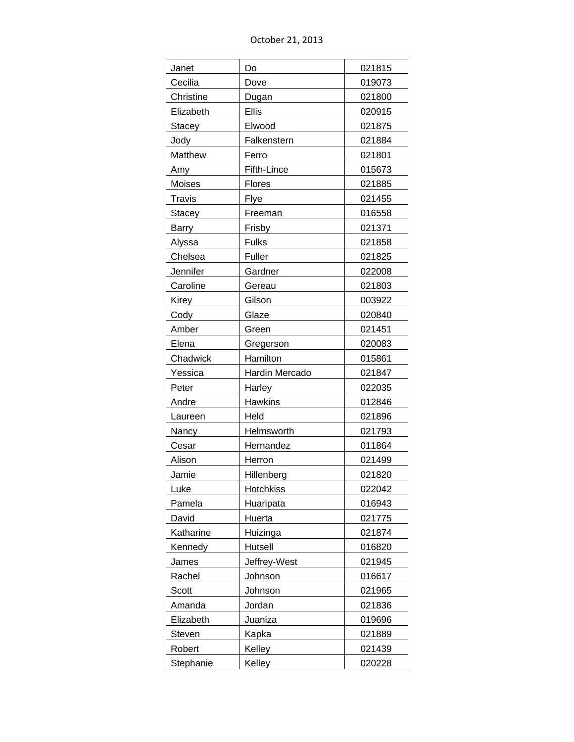October 21, 2013

| Janet         | Do                  | 021815 |
|---------------|---------------------|--------|
| Cecilia       | Dove                | 019073 |
| Christine     | Dugan               | 021800 |
| Elizabeth     | Ellis               | 020915 |
| Stacey        | Elwood              | 021875 |
| Jody          | Falkenstern         | 021884 |
| Matthew       | Ferro               | 021801 |
| Amy           | Fifth-Lince         | 015673 |
| Moises        | Flores              | 021885 |
| <b>Travis</b> | Flye                | 021455 |
| Stacey        | Freeman             | 016558 |
| Barry         | Frisby              | 021371 |
| Alyssa        | <b>Fulks</b>        | 021858 |
| Chelsea       | Fuller              | 021825 |
| Jennifer      | Gardner             | 022008 |
| Caroline      | Gereau              | 021803 |
| Kirey         | Gilson              | 003922 |
| Cody          | Glaze               | 020840 |
| Amber         | Green               | 021451 |
| Elena         | Gregerson           | 020083 |
| Chadwick      | Hamilton            | 015861 |
| Yessica       | Hardin Mercado      | 021847 |
| Peter         | Harley              | 022035 |
| Andre         | <b>Hawkins</b>      | 012846 |
| Laureen       | Held                | 021896 |
| Nancy         | Helmsworth          | 021793 |
| Cesar         | Hernandez           | 011864 |
| Alison        | Herron              | 021499 |
| Jamie         | Hillenberg          | 021820 |
| Luke          | Hotchkiss           | 022042 |
| Pamela        | Huaripata           | 016943 |
| David         | Huerta              | 021775 |
| Katharine     |                     | 021874 |
|               | Huizinga<br>Hutsell |        |
| Kennedy       |                     | 016820 |
| James         | Jeffrey-West        | 021945 |
| Rachel        | Johnson             | 016617 |
| Scott         | Johnson             | 021965 |
| Amanda        | Jordan              | 021836 |
| Elizabeth     | Juaniza             | 019696 |
| Steven        | Kapka               | 021889 |
| Robert        | Kelley              | 021439 |
| Stephanie     | Kelley              | 020228 |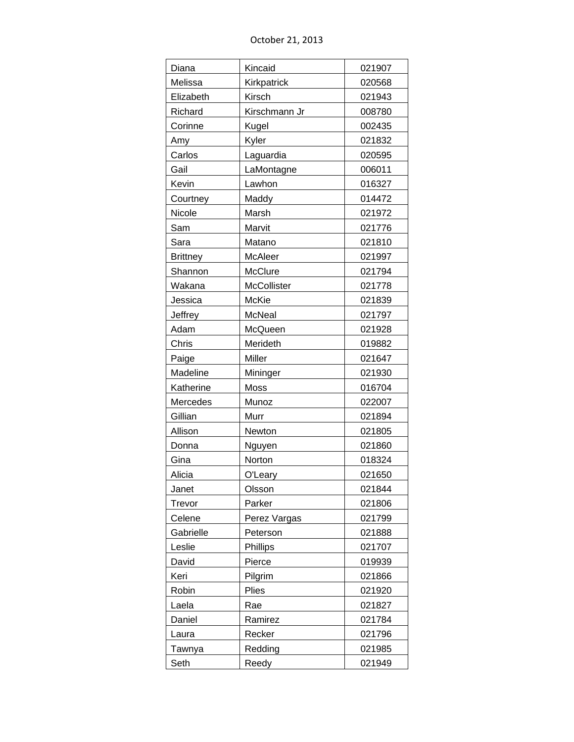October 21, 2013

| Kincaid<br>Diana<br>021907<br>Melissa<br>Kirkpatrick<br>020568<br>Elizabeth<br>Kirsch<br>021943<br>Kirschmann Jr<br>Richard<br>008780<br>Corinne<br>Kugel<br>002435<br>Kyler<br>021832<br>Amy<br>Carlos<br>Laguardia<br>020595<br>Gail<br>LaMontagne<br>006011<br>Kevin<br>Lawhon<br>016327<br>Maddy<br>014472<br>Courtney<br>Nicole<br>Marsh<br>021972<br>021776<br>Sam<br>Marvit<br>Sara<br>Matano<br>021810<br><b>Brittney</b><br>McAleer<br>021997<br>Shannon<br>McClure<br>021794<br>McCollister<br>Wakana<br>021778<br>Jessica<br>McKie<br>021839<br>Jeffrey<br><b>McNeal</b><br>021797<br>Adam<br>McQueen<br>021928<br>Chris<br>Merideth<br>019882<br>Paige<br>Miller<br>021647<br>Madeline<br>Mininger<br>021930<br>Moss<br>Katherine<br>016704 |  |
|---------------------------------------------------------------------------------------------------------------------------------------------------------------------------------------------------------------------------------------------------------------------------------------------------------------------------------------------------------------------------------------------------------------------------------------------------------------------------------------------------------------------------------------------------------------------------------------------------------------------------------------------------------------------------------------------------------------------------------------------------------|--|
|                                                                                                                                                                                                                                                                                                                                                                                                                                                                                                                                                                                                                                                                                                                                                         |  |
|                                                                                                                                                                                                                                                                                                                                                                                                                                                                                                                                                                                                                                                                                                                                                         |  |
|                                                                                                                                                                                                                                                                                                                                                                                                                                                                                                                                                                                                                                                                                                                                                         |  |
|                                                                                                                                                                                                                                                                                                                                                                                                                                                                                                                                                                                                                                                                                                                                                         |  |
|                                                                                                                                                                                                                                                                                                                                                                                                                                                                                                                                                                                                                                                                                                                                                         |  |
|                                                                                                                                                                                                                                                                                                                                                                                                                                                                                                                                                                                                                                                                                                                                                         |  |
|                                                                                                                                                                                                                                                                                                                                                                                                                                                                                                                                                                                                                                                                                                                                                         |  |
|                                                                                                                                                                                                                                                                                                                                                                                                                                                                                                                                                                                                                                                                                                                                                         |  |
|                                                                                                                                                                                                                                                                                                                                                                                                                                                                                                                                                                                                                                                                                                                                                         |  |
|                                                                                                                                                                                                                                                                                                                                                                                                                                                                                                                                                                                                                                                                                                                                                         |  |
|                                                                                                                                                                                                                                                                                                                                                                                                                                                                                                                                                                                                                                                                                                                                                         |  |
|                                                                                                                                                                                                                                                                                                                                                                                                                                                                                                                                                                                                                                                                                                                                                         |  |
|                                                                                                                                                                                                                                                                                                                                                                                                                                                                                                                                                                                                                                                                                                                                                         |  |
|                                                                                                                                                                                                                                                                                                                                                                                                                                                                                                                                                                                                                                                                                                                                                         |  |
|                                                                                                                                                                                                                                                                                                                                                                                                                                                                                                                                                                                                                                                                                                                                                         |  |
|                                                                                                                                                                                                                                                                                                                                                                                                                                                                                                                                                                                                                                                                                                                                                         |  |
|                                                                                                                                                                                                                                                                                                                                                                                                                                                                                                                                                                                                                                                                                                                                                         |  |
|                                                                                                                                                                                                                                                                                                                                                                                                                                                                                                                                                                                                                                                                                                                                                         |  |
|                                                                                                                                                                                                                                                                                                                                                                                                                                                                                                                                                                                                                                                                                                                                                         |  |
|                                                                                                                                                                                                                                                                                                                                                                                                                                                                                                                                                                                                                                                                                                                                                         |  |
|                                                                                                                                                                                                                                                                                                                                                                                                                                                                                                                                                                                                                                                                                                                                                         |  |
|                                                                                                                                                                                                                                                                                                                                                                                                                                                                                                                                                                                                                                                                                                                                                         |  |
|                                                                                                                                                                                                                                                                                                                                                                                                                                                                                                                                                                                                                                                                                                                                                         |  |
| Mercedes<br>Munoz<br>022007                                                                                                                                                                                                                                                                                                                                                                                                                                                                                                                                                                                                                                                                                                                             |  |
| Gillian<br>Murr<br>021894                                                                                                                                                                                                                                                                                                                                                                                                                                                                                                                                                                                                                                                                                                                               |  |
| Allison<br>Newton<br>021805                                                                                                                                                                                                                                                                                                                                                                                                                                                                                                                                                                                                                                                                                                                             |  |
| Donna<br>021860<br>Nguyen                                                                                                                                                                                                                                                                                                                                                                                                                                                                                                                                                                                                                                                                                                                               |  |
| Gina<br>Norton<br>018324                                                                                                                                                                                                                                                                                                                                                                                                                                                                                                                                                                                                                                                                                                                                |  |
| Alicia<br>021650<br>O'Leary                                                                                                                                                                                                                                                                                                                                                                                                                                                                                                                                                                                                                                                                                                                             |  |
| Janet<br>Olsson<br>021844                                                                                                                                                                                                                                                                                                                                                                                                                                                                                                                                                                                                                                                                                                                               |  |
| Trevor<br>Parker<br>021806                                                                                                                                                                                                                                                                                                                                                                                                                                                                                                                                                                                                                                                                                                                              |  |
| 021799<br>Celene<br>Perez Vargas                                                                                                                                                                                                                                                                                                                                                                                                                                                                                                                                                                                                                                                                                                                        |  |
| Gabrielle<br>Peterson<br>021888                                                                                                                                                                                                                                                                                                                                                                                                                                                                                                                                                                                                                                                                                                                         |  |
| Leslie<br>Phillips<br>021707                                                                                                                                                                                                                                                                                                                                                                                                                                                                                                                                                                                                                                                                                                                            |  |
| David<br>019939<br>Pierce                                                                                                                                                                                                                                                                                                                                                                                                                                                                                                                                                                                                                                                                                                                               |  |
| Keri<br>Pilgrim<br>021866                                                                                                                                                                                                                                                                                                                                                                                                                                                                                                                                                                                                                                                                                                                               |  |
| Robin<br>Plies<br>021920                                                                                                                                                                                                                                                                                                                                                                                                                                                                                                                                                                                                                                                                                                                                |  |
| Laela<br>Rae<br>021827                                                                                                                                                                                                                                                                                                                                                                                                                                                                                                                                                                                                                                                                                                                                  |  |
| Daniel<br>Ramirez<br>021784                                                                                                                                                                                                                                                                                                                                                                                                                                                                                                                                                                                                                                                                                                                             |  |
| Recker<br>021796<br>Laura                                                                                                                                                                                                                                                                                                                                                                                                                                                                                                                                                                                                                                                                                                                               |  |
| Redding<br>021985<br>Tawnya                                                                                                                                                                                                                                                                                                                                                                                                                                                                                                                                                                                                                                                                                                                             |  |
| Seth<br>021949<br>Reedy                                                                                                                                                                                                                                                                                                                                                                                                                                                                                                                                                                                                                                                                                                                                 |  |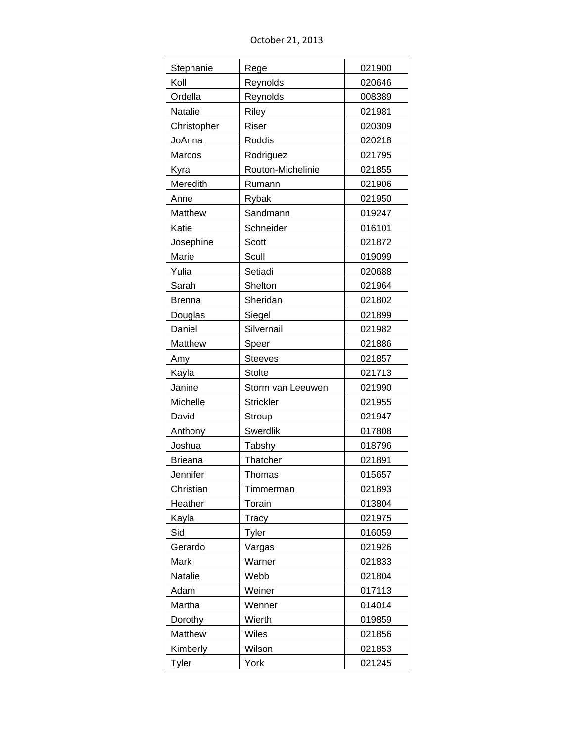October 21, 2013

| Stephanie      | Rege              | 021900 |
|----------------|-------------------|--------|
| Koll           | Reynolds          | 020646 |
| Ordella        | Reynolds          | 008389 |
| Natalie        | Riley             | 021981 |
| Christopher    | Riser             | 020309 |
| JoAnna         | Roddis            | 020218 |
| Marcos         | Rodriguez         | 021795 |
| Kyra           | Routon-Michelinie | 021855 |
| Meredith       | Rumann            | 021906 |
| Anne           | Rybak             | 021950 |
| Matthew        | Sandmann          | 019247 |
| Katie          | Schneider         | 016101 |
| Josephine      | Scott             | 021872 |
| Marie          | Scull             | 019099 |
| Yulia          | Setiadi           | 020688 |
| Sarah          | Shelton           | 021964 |
| <b>Brenna</b>  | Sheridan          | 021802 |
| Douglas        | Siegel            | 021899 |
| Daniel         | Silvernail        | 021982 |
| Matthew        | Speer             | 021886 |
| Amy            | <b>Steeves</b>    | 021857 |
| Kayla          | <b>Stolte</b>     | 021713 |
| Janine         | Storm van Leeuwen | 021990 |
|                |                   |        |
| Michelle       | <b>Strickler</b>  | 021955 |
| David          | Stroup            | 021947 |
| Anthony        | <b>Swerdlik</b>   | 017808 |
| Joshua         | Tabshy            | 018796 |
| <b>Brieana</b> | Thatcher          | 021891 |
| Jennifer       | Thomas            | 015657 |
| Christian      | Timmerman         | 021893 |
| Heather        | Torain            | 013804 |
| Kayla          | Tracy             | 021975 |
| Sid            | Tyler             | 016059 |
| Gerardo        | Vargas            | 021926 |
| Mark           | Warner            | 021833 |
| Natalie        | Webb              | 021804 |
| Adam           | Weiner            | 017113 |
| Martha         | Wenner            | 014014 |
| Dorothy        | Wierth            | 019859 |
| Matthew        | Wiles             | 021856 |
| Kimberly       | Wilson            | 021853 |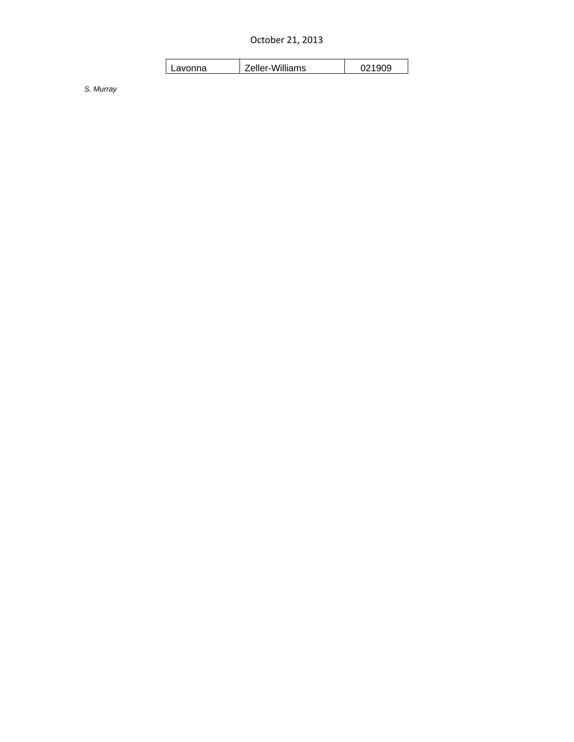October 21, 2013

| Lavonna | Zeller-Williams | 021909 |
|---------|-----------------|--------|
|         |                 |        |

*S. Murray*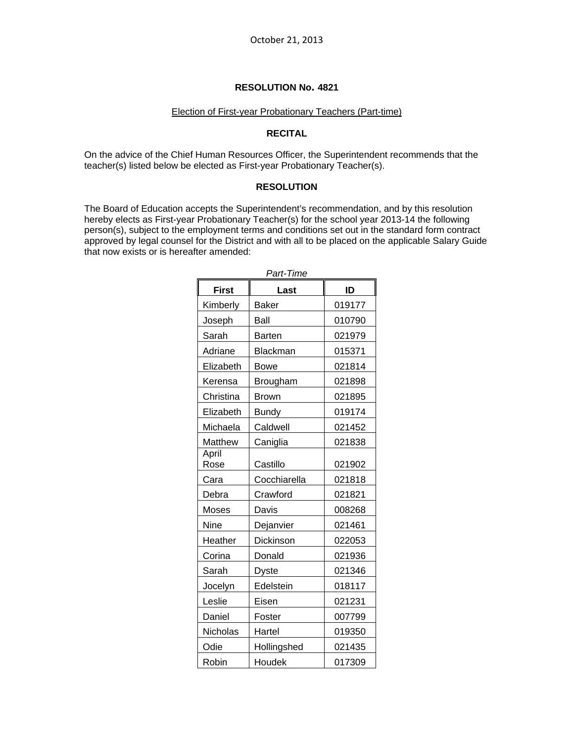#### Election of First-year Probationary Teachers (Part-time)

#### **RECITAL**

On the advice of the Chief Human Resources Officer, the Superintendent recommends that the teacher(s) listed below be elected as First-year Probationary Teacher(s).

#### **RESOLUTION**

The Board of Education accepts the Superintendent's recommendation, and by this resolution hereby elects as First-year Probationary Teacher(s) for the school year 2013-14 the following person(s), subject to the employment terms and conditions set out in the standard form contract approved by legal counsel for the District and with all to be placed on the applicable Salary Guide that now exists or is hereafter amended:

| <b>First</b>  | Last          | ID     |
|---------------|---------------|--------|
| Kimberly      | <b>Baker</b>  | 019177 |
| Joseph        | Ball          | 010790 |
| Sarah         | <b>Barten</b> | 021979 |
| Adriane       | Blackman      | 015371 |
| Elizabeth     | Bowe          | 021814 |
| Kerensa       | Brougham      | 021898 |
| Christina     | <b>Brown</b>  | 021895 |
| Elizabeth     | <b>Bundy</b>  | 019174 |
| Michaela      | Caldwell      | 021452 |
| Matthew       | Caniglia      | 021838 |
| April<br>Rose | Castillo      | 021902 |
| Cara          | Cocchiarella  | 021818 |
| Debra         | Crawford      | 021821 |
| Moses         | Davis         | 008268 |
| <b>Nine</b>   | Dejanvier     | 021461 |
| Heather       | Dickinson     | 022053 |
| Corina        | Donald        | 021936 |
| Sarah         | <b>Dyste</b>  | 021346 |
| Jocelyn       | Edelstein     | 018117 |
| Leslie        | Eisen         | 021231 |
| Daniel        | Foster        | 007799 |
| Nicholas      | Hartel        | 019350 |
| Odie          | Hollingshed   | 021435 |
| Robin         | Houdek        | 017309 |

*Part-Time*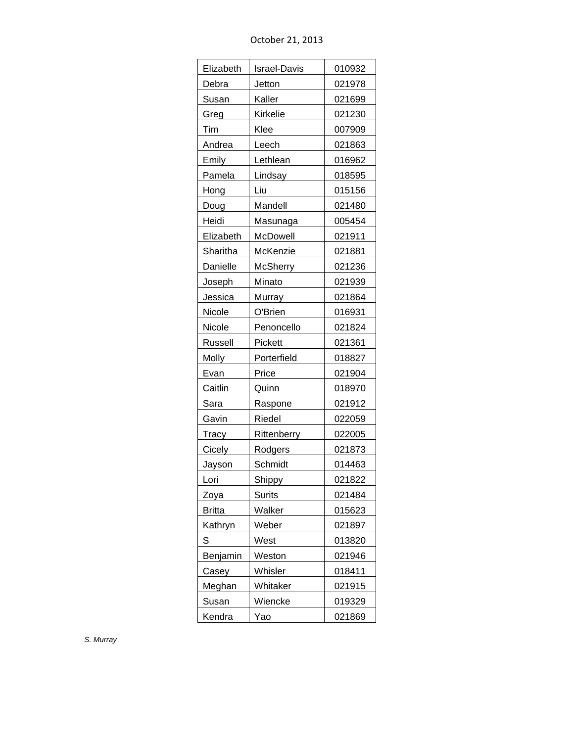| October 21, 2013 |  |  |
|------------------|--|--|
|------------------|--|--|

| Elizabeth     | <b>Israel-Davis</b> | 010932 |
|---------------|---------------------|--------|
| Debra         | Jetton              | 021978 |
| Susan         | Kaller              | 021699 |
| Greg          | Kirkelie            | 021230 |
| Tim           | Klee                | 007909 |
| Andrea        | Leech               | 021863 |
| Emily         | Lethlean            | 016962 |
| Pamela        | Lindsay             | 018595 |
| Hong          | Liu                 | 015156 |
| Doug          | Mandell             | 021480 |
| Heidi         | Masunaga            | 005454 |
| Elizabeth     | McDowell            | 021911 |
| Sharitha      | McKenzie            | 021881 |
| Danielle      | <b>McSherry</b>     | 021236 |
| Joseph        | Minato              | 021939 |
| Jessica       | Murray              | 021864 |
| Nicole        | O'Brien             | 016931 |
| Nicole        | Penoncello          | 021824 |
| Russell       | Pickett             | 021361 |
| Molly         | Porterfield         | 018827 |
| Evan          | Price               | 021904 |
| Caitlin       | Quinn               | 018970 |
| Sara          | Raspone             | 021912 |
| Gavin         | Riedel              | 022059 |
| Tracy         | Rittenberry         | 022005 |
| Cicely        | Rodgers             | 021873 |
| <u>Jayson</u> | Schmidt             | 014463 |
| Lori          | Shippy              | 021822 |
| Zoya          | Surits              | 021484 |
| <b>Britta</b> | Walker              | 015623 |
| Kathryn       | Weber               | 021897 |
| S             | West                | 013820 |
| Benjamin      | Weston              | 021946 |
| Casey         | Whisler             | 018411 |
| Meghan        | Whitaker            | 021915 |
| Susan         | Wiencke             | 019329 |
| Kendra        | Yao                 | 021869 |

*S. Murray*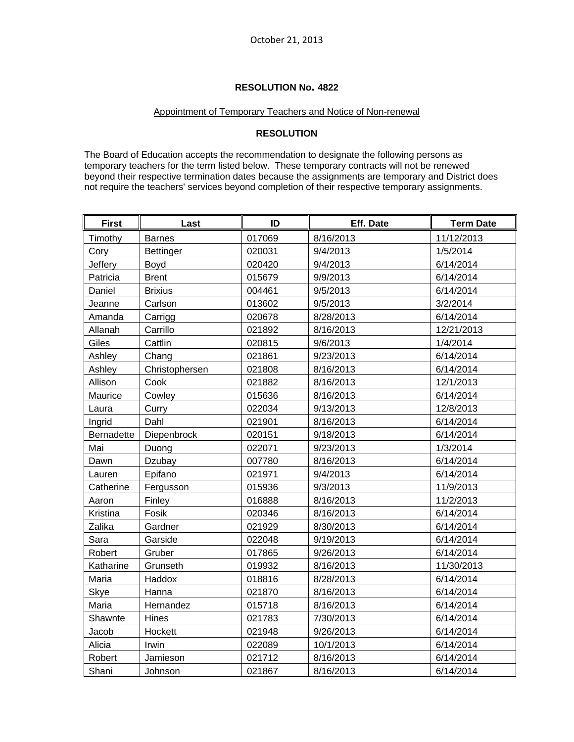### Appointment of Temporary Teachers and Notice of Non-renewal

# **RESOLUTION**

The Board of Education accepts the recommendation to designate the following persons as temporary teachers for the term listed below. These temporary contracts will not be renewed beyond their respective termination dates because the assignments are temporary and District does not require the teachers' services beyond completion of their respective temporary assignments.

| <b>First</b> | Last             | ID     | Eff. Date | <b>Term Date</b> |
|--------------|------------------|--------|-----------|------------------|
| Timothy      | <b>Barnes</b>    | 017069 | 8/16/2013 | 11/12/2013       |
| Cory         | <b>Bettinger</b> | 020031 | 9/4/2013  | 1/5/2014         |
| Jeffery      | Boyd             | 020420 | 9/4/2013  | 6/14/2014        |
| Patricia     | <b>Brent</b>     | 015679 | 9/9/2013  | 6/14/2014        |
| Daniel       | <b>Brixius</b>   | 004461 | 9/5/2013  | 6/14/2014        |
| Jeanne       | Carlson          | 013602 | 9/5/2013  | 3/2/2014         |
| Amanda       | Carrigg          | 020678 | 8/28/2013 | 6/14/2014        |
| Allanah      | Carrillo         | 021892 | 8/16/2013 | 12/21/2013       |
| Giles        | Cattlin          | 020815 | 9/6/2013  | 1/4/2014         |
| Ashley       | Chang            | 021861 | 9/23/2013 | 6/14/2014        |
| Ashley       | Christophersen   | 021808 | 8/16/2013 | 6/14/2014        |
| Allison      | Cook             | 021882 | 8/16/2013 | 12/1/2013        |
| Maurice      | Cowley           | 015636 | 8/16/2013 | 6/14/2014        |
| Laura        | Curry            | 022034 | 9/13/2013 | 12/8/2013        |
| Ingrid       | Dahl             | 021901 | 8/16/2013 | 6/14/2014        |
| Bernadette   | Diepenbrock      | 020151 | 9/18/2013 | 6/14/2014        |
| Mai          | Duong            | 022071 | 9/23/2013 | 1/3/2014         |
| Dawn         | Dzubay           | 007780 | 8/16/2013 | 6/14/2014        |
| Lauren       | Epifano          | 021971 | 9/4/2013  | 6/14/2014        |
| Catherine    | Fergusson        | 015936 | 9/3/2013  | 11/9/2013        |
| Aaron        | Finley           | 016888 | 8/16/2013 | 11/2/2013        |
| Kristina     | Fosik            | 020346 | 8/16/2013 | 6/14/2014        |
| Zalika       | Gardner          | 021929 | 8/30/2013 | 6/14/2014        |
| Sara         | Garside          | 022048 | 9/19/2013 | 6/14/2014        |
| Robert       | Gruber           | 017865 | 9/26/2013 | 6/14/2014        |
| Katharine    | Grunseth         | 019932 | 8/16/2013 | 11/30/2013       |
| Maria        | Haddox           | 018816 | 8/28/2013 | 6/14/2014        |
| Skye         | Hanna            | 021870 | 8/16/2013 | 6/14/2014        |
| Maria        | Hernandez        | 015718 | 8/16/2013 | 6/14/2014        |
| Shawnte      | Hines            | 021783 | 7/30/2013 | 6/14/2014        |
| Jacob        | Hockett          | 021948 | 9/26/2013 | 6/14/2014        |
| Alicia       | Irwin            | 022089 | 10/1/2013 | 6/14/2014        |
| Robert       | Jamieson         | 021712 | 8/16/2013 | 6/14/2014        |
| Shani        | Johnson          | 021867 | 8/16/2013 | 6/14/2014        |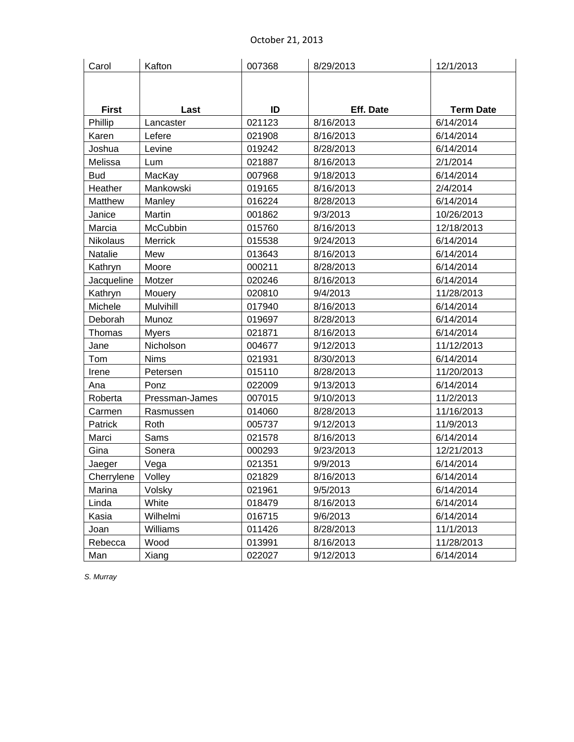| Carol           | Kafton         | 007368 | 8/29/2013 | 12/1/2013        |
|-----------------|----------------|--------|-----------|------------------|
|                 |                |        |           |                  |
|                 |                |        |           |                  |
| <b>First</b>    | Last           | ID     | Eff. Date | <b>Term Date</b> |
| Phillip         | Lancaster      | 021123 | 8/16/2013 | 6/14/2014        |
| Karen           | Lefere         | 021908 | 8/16/2013 | 6/14/2014        |
| Joshua          | Levine         | 019242 | 8/28/2013 | 6/14/2014        |
| Melissa         | Lum            | 021887 | 8/16/2013 | 2/1/2014         |
| <b>Bud</b>      | MacKay         | 007968 | 9/18/2013 | 6/14/2014        |
| Heather         | Mankowski      | 019165 | 8/16/2013 | 2/4/2014         |
| Matthew         | Manley         | 016224 | 8/28/2013 | 6/14/2014        |
| Janice          | Martin         | 001862 | 9/3/2013  | 10/26/2013       |
| Marcia          | McCubbin       | 015760 | 8/16/2013 | 12/18/2013       |
| <b>Nikolaus</b> | <b>Merrick</b> | 015538 | 9/24/2013 | 6/14/2014        |
| Natalie         | Mew            | 013643 | 8/16/2013 | 6/14/2014        |
| Kathryn         | Moore          | 000211 | 8/28/2013 | 6/14/2014        |
| Jacqueline      | Motzer         | 020246 | 8/16/2013 | 6/14/2014        |
| Kathryn         | Mouery         | 020810 | 9/4/2013  | 11/28/2013       |
| Michele         | Mulvihill      | 017940 | 8/16/2013 | 6/14/2014        |
| Deborah         | Munoz          | 019697 | 8/28/2013 | 6/14/2014        |
| Thomas          | <b>Myers</b>   | 021871 | 8/16/2013 | 6/14/2014        |
| Jane            | Nicholson      | 004677 | 9/12/2013 | 11/12/2013       |
| Tom             | <b>Nims</b>    | 021931 | 8/30/2013 | 6/14/2014        |
| Irene           | Petersen       | 015110 | 8/28/2013 | 11/20/2013       |
| Ana             | Ponz           | 022009 | 9/13/2013 | 6/14/2014        |
| Roberta         | Pressman-James | 007015 | 9/10/2013 | 11/2/2013        |
| Carmen          | Rasmussen      | 014060 | 8/28/2013 | 11/16/2013       |
| Patrick         | Roth           | 005737 | 9/12/2013 | 11/9/2013        |
| Marci           | Sams           | 021578 | 8/16/2013 | 6/14/2014        |
| Gina            | Sonera         | 000293 | 9/23/2013 | 12/21/2013       |
| Jaeger          | Vega           | 021351 | 9/9/2013  | 6/14/2014        |
| Cherrylene      | Volley         | 021829 | 8/16/2013 | 6/14/2014        |
| Marina          | Volsky         | 021961 | 9/5/2013  | 6/14/2014        |
| Linda           | White          | 018479 | 8/16/2013 | 6/14/2014        |
| Kasia           | Wilhelmi       | 016715 | 9/6/2013  | 6/14/2014        |
| Joan            | Williams       | 011426 | 8/28/2013 | 11/1/2013        |
| Rebecca         | Wood           | 013991 | 8/16/2013 | 11/28/2013       |
| Man             | Xiang          | 022027 | 9/12/2013 | 6/14/2014        |

*S. Murray*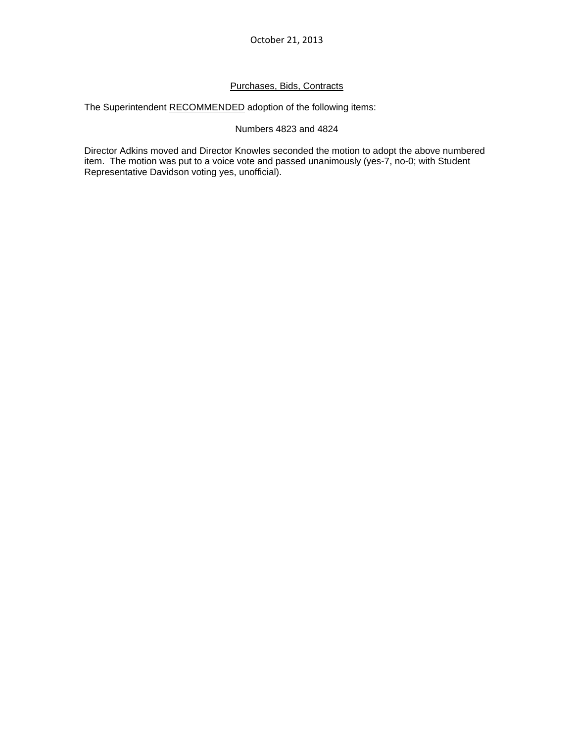# Purchases, Bids, Contracts

The Superintendent RECOMMENDED adoption of the following items:

# Numbers 4823 and 4824

Director Adkins moved and Director Knowles seconded the motion to adopt the above numbered item. The motion was put to a voice vote and passed unanimously (yes-7, no-0; with Student Representative Davidson voting yes, unofficial).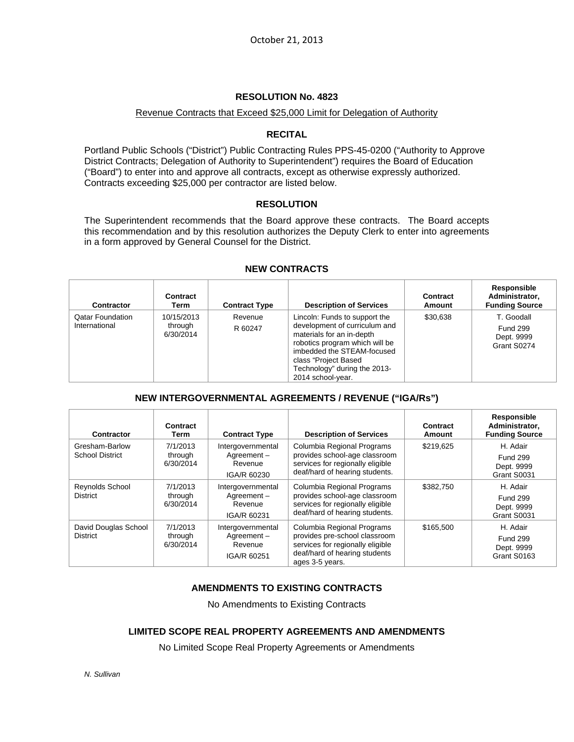### Revenue Contracts that Exceed \$25,000 Limit for Delegation of Authority

# **RECITAL**

Portland Public Schools ("District") Public Contracting Rules PPS-45-0200 ("Authority to Approve District Contracts; Delegation of Authority to Superintendent") requires the Board of Education ("Board") to enter into and approve all contracts, except as otherwise expressly authorized. Contracts exceeding \$25,000 per contractor are listed below.

### **RESOLUTION**

The Superintendent recommends that the Board approve these contracts. The Board accepts this recommendation and by this resolution authorizes the Deputy Clerk to enter into agreements in a form approved by General Counsel for the District.

| <b>Contractor</b>                        | Contract<br>Term                   | <b>Contract Type</b> | <b>Description of Services</b>                                                                                                                                                                                                           | Contract<br>Amount | Responsible<br>Administrator,<br><b>Funding Source</b>     |
|------------------------------------------|------------------------------------|----------------------|------------------------------------------------------------------------------------------------------------------------------------------------------------------------------------------------------------------------------------------|--------------------|------------------------------------------------------------|
| <b>Qatar Foundation</b><br>International | 10/15/2013<br>through<br>6/30/2014 | Revenue<br>R 60247   | Lincoln: Funds to support the<br>development of curriculum and<br>materials for an in-depth<br>robotics program which will be<br>imbedded the STEAM-focused<br>class "Project Based<br>Technology" during the 2013-<br>2014 school-year. | \$30.638           | T. Goodall<br><b>Fund 299</b><br>Dept. 9999<br>Grant S0274 |

#### **NEW CONTRACTS**

# **NEW INTERGOVERNMENTAL AGREEMENTS / REVENUE ("IGA/Rs")**

| <b>Contractor</b>                        | Contract<br>Term                 | <b>Contract Type</b>                                      | <b>Description of Services</b>                                                                                                                      | Contract<br>Amount | Responsible<br>Administrator,<br><b>Funding Source</b>   |
|------------------------------------------|----------------------------------|-----------------------------------------------------------|-----------------------------------------------------------------------------------------------------------------------------------------------------|--------------------|----------------------------------------------------------|
| Gresham-Barlow<br><b>School District</b> | 7/1/2013<br>through<br>6/30/2014 | Intergovernmental<br>Agreement-<br>Revenue<br>IGA/R 60230 | Columbia Regional Programs<br>provides school-age classroom<br>services for regionally eligible<br>deaf/hard of hearing students.                   | \$219,625          | H. Adair<br><b>Fund 299</b><br>Dept. 9999<br>Grant S0031 |
| Reynolds School<br><b>District</b>       | 7/1/2013<br>through<br>6/30/2014 | Intergovernmental<br>Agreement-<br>Revenue<br>IGA/R 60231 | Columbia Regional Programs<br>provides school-age classroom<br>services for regionally eligible<br>deaf/hard of hearing students.                   | \$382,750          | H. Adair<br><b>Fund 299</b><br>Dept. 9999<br>Grant S0031 |
| David Douglas School<br><b>District</b>  | 7/1/2013<br>through<br>6/30/2014 | Intergovernmental<br>Agreement-<br>Revenue<br>IGA/R 60251 | Columbia Regional Programs<br>provides pre-school classroom<br>services for regionally eligible<br>deaf/hard of hearing students<br>ages 3-5 years. | \$165,500          | H. Adair<br><b>Fund 299</b><br>Dept. 9999<br>Grant S0163 |

# **AMENDMENTS TO EXISTING CONTRACTS**

No Amendments to Existing Contracts

# **LIMITED SCOPE REAL PROPERTY AGREEMENTS AND AMENDMENTS**

No Limited Scope Real Property Agreements or Amendments

*N. Sullivan*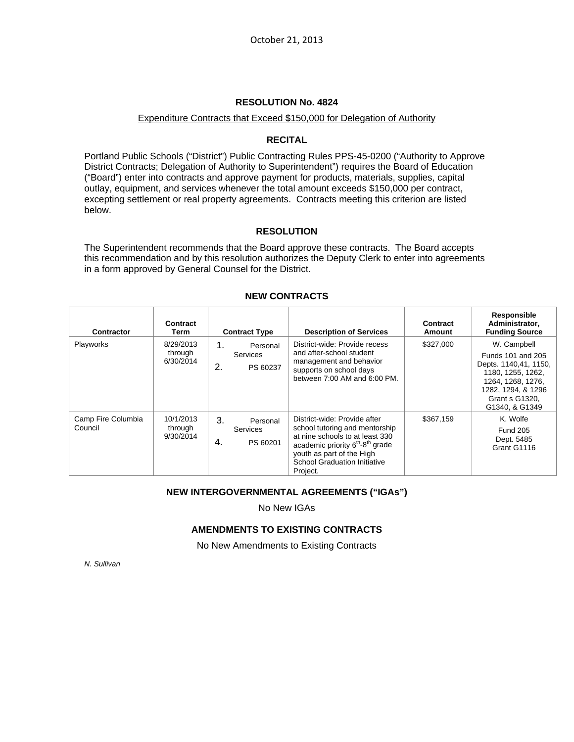#### Expenditure Contracts that Exceed \$150,000 for Delegation of Authority

# **RECITAL**

Portland Public Schools ("District") Public Contracting Rules PPS-45-0200 ("Authority to Approve District Contracts; Delegation of Authority to Superintendent") requires the Board of Education ("Board") enter into contracts and approve payment for products, materials, supplies, capital outlay, equipment, and services whenever the total amount exceeds \$150,000 per contract, excepting settlement or real property agreements. Contracts meeting this criterion are listed below.

# **RESOLUTION**

The Superintendent recommends that the Board approve these contracts. The Board accepts this recommendation and by this resolution authorizes the Deputy Clerk to enter into agreements in a form approved by General Counsel for the District.

| <b>Contractor</b>             | Contract<br>Term                  | <b>Contract Type</b>                                | <b>Description of Services</b>                                                                                                                                                                                                                | Contract<br><b>Amount</b> | Responsible<br>Administrator,<br><b>Funding Source</b>                                                                                                               |
|-------------------------------|-----------------------------------|-----------------------------------------------------|-----------------------------------------------------------------------------------------------------------------------------------------------------------------------------------------------------------------------------------------------|---------------------------|----------------------------------------------------------------------------------------------------------------------------------------------------------------------|
| <b>Playworks</b>              | 8/29/2013<br>through<br>6/30/2014 | 1.<br>Personal<br><b>Services</b><br>2.<br>PS 60237 | District-wide: Provide recess<br>and after-school student<br>management and behavior<br>supports on school days<br>between 7:00 AM and 6:00 PM.                                                                                               | \$327.000                 | W. Campbell<br>Funds 101 and 205<br>Depts. 1140,41, 1150,<br>1180, 1255, 1262,<br>1264, 1268, 1276,<br>1282, 1294, & 1296<br><b>Grant s G1320,</b><br>G1340, & G1349 |
| Camp Fire Columbia<br>Council | 10/1/2013<br>through<br>9/30/2014 | 3.<br>Personal<br><b>Services</b><br>4.<br>PS 60201 | District-wide: Provide after<br>school tutoring and mentorship<br>at nine schools to at least 330<br>academic priority 6 <sup>th</sup> -8 <sup>th</sup> grade<br>youth as part of the High<br><b>School Graduation Initiative</b><br>Project. | \$367,159                 | K. Wolfe<br><b>Fund 205</b><br>Dept. 5485<br>Grant G1116                                                                                                             |

# **NEW CONTRACTS**

# **NEW INTERGOVERNMENTAL AGREEMENTS ("IGAs")**

No New IGAs

# **AMENDMENTS TO EXISTING CONTRACTS**

No New Amendments to Existing Contracts

*N. Sullivan*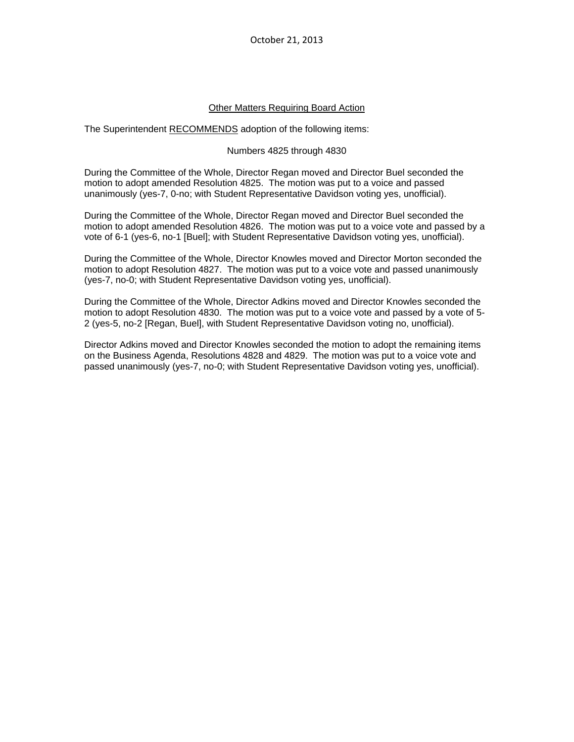October 21, 2013

### **Other Matters Requiring Board Action**

The Superintendent RECOMMENDS adoption of the following items:

#### Numbers 4825 through 4830

During the Committee of the Whole, Director Regan moved and Director Buel seconded the motion to adopt amended Resolution 4825. The motion was put to a voice and passed unanimously (yes-7, 0-no; with Student Representative Davidson voting yes, unofficial).

During the Committee of the Whole, Director Regan moved and Director Buel seconded the motion to adopt amended Resolution 4826. The motion was put to a voice vote and passed by a vote of 6-1 (yes-6, no-1 [Buel]; with Student Representative Davidson voting yes, unofficial).

During the Committee of the Whole, Director Knowles moved and Director Morton seconded the motion to adopt Resolution 4827. The motion was put to a voice vote and passed unanimously (yes-7, no-0; with Student Representative Davidson voting yes, unofficial).

During the Committee of the Whole, Director Adkins moved and Director Knowles seconded the motion to adopt Resolution 4830. The motion was put to a voice vote and passed by a vote of 5- 2 (yes-5, no-2 [Regan, Buel], with Student Representative Davidson voting no, unofficial).

Director Adkins moved and Director Knowles seconded the motion to adopt the remaining items on the Business Agenda, Resolutions 4828 and 4829. The motion was put to a voice vote and passed unanimously (yes-7, no-0; with Student Representative Davidson voting yes, unofficial).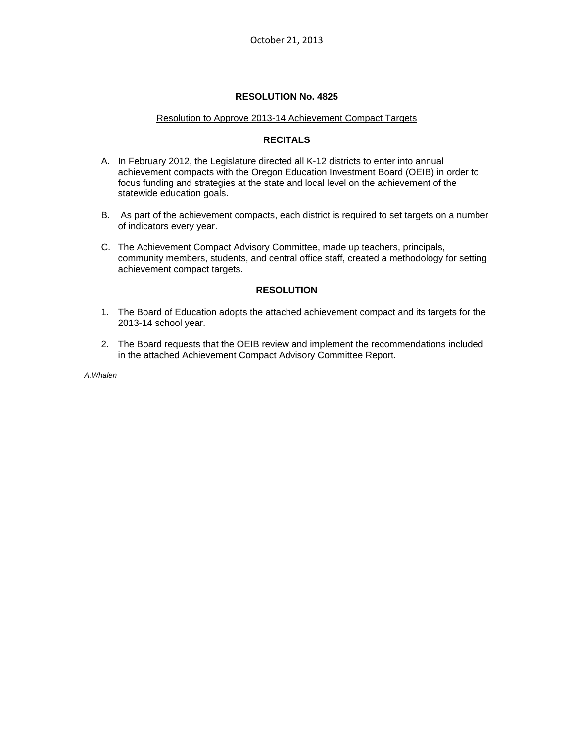#### Resolution to Approve 2013-14 Achievement Compact Targets

# **RECITALS**

- A. In February 2012, the Legislature directed all K-12 districts to enter into annual achievement compacts with the Oregon Education Investment Board (OEIB) in order to focus funding and strategies at the state and local level on the achievement of the statewide education goals.
- B. As part of the achievement compacts, each district is required to set targets on a number of indicators every year.
- C. The Achievement Compact Advisory Committee, made up teachers, principals, community members, students, and central office staff, created a methodology for setting achievement compact targets.

# **RESOLUTION**

- 1. The Board of Education adopts the attached achievement compact and its targets for the 2013-14 school year.
- 2. The Board requests that the OEIB review and implement the recommendations included in the attached Achievement Compact Advisory Committee Report.

*A.Whalen*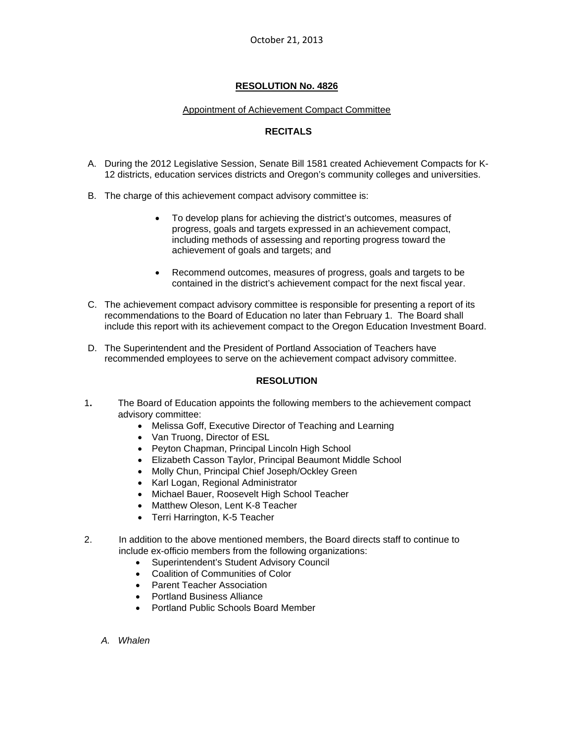#### Appointment of Achievement Compact Committee

# **RECITALS**

- A. During the 2012 Legislative Session, Senate Bill 1581 created Achievement Compacts for K-12 districts, education services districts and Oregon's community colleges and universities.
- B. The charge of this achievement compact advisory committee is:
	- To develop plans for achieving the district's outcomes, measures of progress, goals and targets expressed in an achievement compact, including methods of assessing and reporting progress toward the achievement of goals and targets; and
	- Recommend outcomes, measures of progress, goals and targets to be contained in the district's achievement compact for the next fiscal year.
- C. The achievement compact advisory committee is responsible for presenting a report of its recommendations to the Board of Education no later than February 1. The Board shall include this report with its achievement compact to the Oregon Education Investment Board.
- D. The Superintendent and the President of Portland Association of Teachers have recommended employees to serve on the achievement compact advisory committee.

# **RESOLUTION**

- 1**.** The Board of Education appoints the following members to the achievement compact advisory committee:
	- Melissa Goff, Executive Director of Teaching and Learning
	- Van Truong, Director of ESL
	- Peyton Chapman, Principal Lincoln High School
	- Elizabeth Casson Taylor, Principal Beaumont Middle School
	- Molly Chun, Principal Chief Joseph/Ockley Green
	- Karl Logan, Regional Administrator
	- Michael Bauer, Roosevelt High School Teacher
	- Matthew Oleson, Lent K-8 Teacher
	- Terri Harrington, K-5 Teacher
- 2. In addition to the above mentioned members, the Board directs staff to continue to include ex-officio members from the following organizations:
	- Superintendent's Student Advisory Council
	- Coalition of Communities of Color
	- **•** Parent Teacher Association
	- Portland Business Alliance
	- Portland Public Schools Board Member
	- *A. Whalen*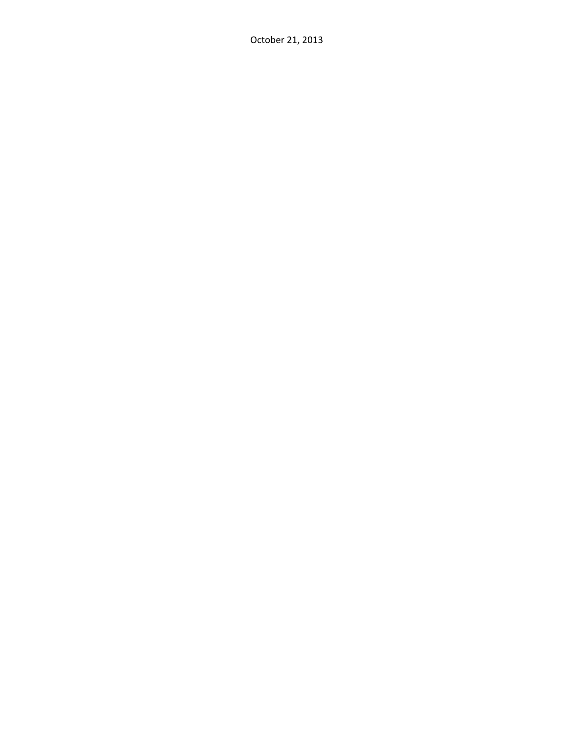October 21, 2013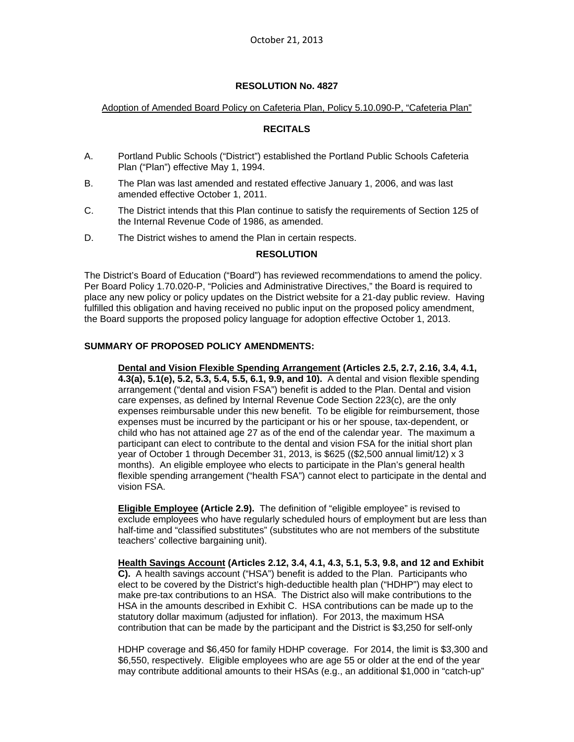#### Adoption of Amended Board Policy on Cafeteria Plan, Policy 5.10.090-P, "Cafeteria Plan"

# **RECITALS**

- A. Portland Public Schools ("District") established the Portland Public Schools Cafeteria Plan ("Plan") effective May 1, 1994.
- B. The Plan was last amended and restated effective January 1, 2006, and was last amended effective October 1, 2011.
- C. The District intends that this Plan continue to satisfy the requirements of Section 125 of the Internal Revenue Code of 1986, as amended.
- D. The District wishes to amend the Plan in certain respects.

#### **RESOLUTION**

The District's Board of Education ("Board") has reviewed recommendations to amend the policy. Per Board Policy 1.70.020-P, "Policies and Administrative Directives," the Board is required to place any new policy or policy updates on the District website for a 21-day public review. Having fulfilled this obligation and having received no public input on the proposed policy amendment, the Board supports the proposed policy language for adoption effective October 1, 2013.

### **SUMMARY OF PROPOSED POLICY AMENDMENTS:**

**Dental and Vision Flexible Spending Arrangement (Articles 2.5, 2.7, 2.16, 3.4, 4.1, 4.3(a), 5.1(e), 5.2, 5.3, 5.4, 5.5, 6.1, 9.9, and 10).** A dental and vision flexible spending arrangement ("dental and vision FSA") benefit is added to the Plan. Dental and vision care expenses, as defined by Internal Revenue Code Section 223(c), are the only expenses reimbursable under this new benefit. To be eligible for reimbursement, those expenses must be incurred by the participant or his or her spouse, tax-dependent, or child who has not attained age 27 as of the end of the calendar year. The maximum a participant can elect to contribute to the dental and vision FSA for the initial short plan year of October 1 through December 31, 2013, is \$625 ((\$2,500 annual limit/12) x 3 months). An eligible employee who elects to participate in the Plan's general health flexible spending arrangement ("health FSA") cannot elect to participate in the dental and vision FSA.

**Eligible Employee (Article 2.9).** The definition of "eligible employee" is revised to exclude employees who have regularly scheduled hours of employment but are less than half-time and "classified substitutes" (substitutes who are not members of the substitute teachers' collective bargaining unit).

**Health Savings Account (Articles 2.12, 3.4, 4.1, 4.3, 5.1, 5.3, 9.8, and 12 and Exhibit C).** A health savings account ("HSA") benefit is added to the Plan. Participants who elect to be covered by the District's high-deductible health plan ("HDHP") may elect to make pre-tax contributions to an HSA. The District also will make contributions to the HSA in the amounts described in Exhibit C. HSA contributions can be made up to the statutory dollar maximum (adjusted for inflation). For 2013, the maximum HSA contribution that can be made by the participant and the District is \$3,250 for self-only

HDHP coverage and \$6,450 for family HDHP coverage. For 2014, the limit is \$3,300 and \$6,550, respectively. Eligible employees who are age 55 or older at the end of the year may contribute additional amounts to their HSAs (e.g., an additional \$1,000 in "catch-up"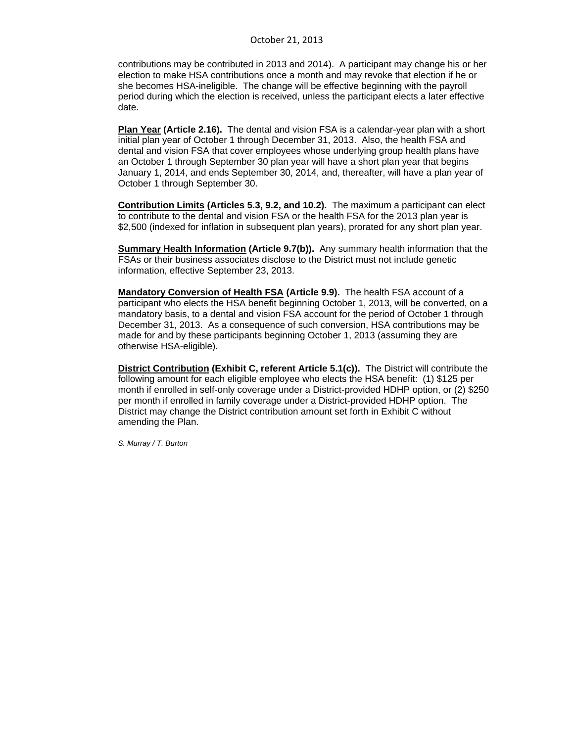contributions may be contributed in 2013 and 2014). A participant may change his or her election to make HSA contributions once a month and may revoke that election if he or she becomes HSA-ineligible. The change will be effective beginning with the payroll period during which the election is received, unless the participant elects a later effective date.

**Plan Year (Article 2.16).** The dental and vision FSA is a calendar-year plan with a short initial plan year of October 1 through December 31, 2013. Also, the health FSA and dental and vision FSA that cover employees whose underlying group health plans have an October 1 through September 30 plan year will have a short plan year that begins January 1, 2014, and ends September 30, 2014, and, thereafter, will have a plan year of October 1 through September 30.

**Contribution Limits (Articles 5.3, 9.2, and 10.2).** The maximum a participant can elect to contribute to the dental and vision FSA or the health FSA for the 2013 plan year is \$2,500 (indexed for inflation in subsequent plan years), prorated for any short plan year.

**Summary Health Information (Article 9.7(b)).** Any summary health information that the FSAs or their business associates disclose to the District must not include genetic information, effective September 23, 2013.

**Mandatory Conversion of Health FSA (Article 9.9).** The health FSA account of a participant who elects the HSA benefit beginning October 1, 2013, will be converted, on a mandatory basis, to a dental and vision FSA account for the period of October 1 through December 31, 2013. As a consequence of such conversion, HSA contributions may be made for and by these participants beginning October 1, 2013 (assuming they are otherwise HSA-eligible).

**District Contribution (Exhibit C, referent Article 5.1(c)).** The District will contribute the following amount for each eligible employee who elects the HSA benefit: (1) \$125 per month if enrolled in self-only coverage under a District-provided HDHP option, or (2) \$250 per month if enrolled in family coverage under a District-provided HDHP option. The District may change the District contribution amount set forth in Exhibit C without amending the Plan.

*S. Murray / T. Burton*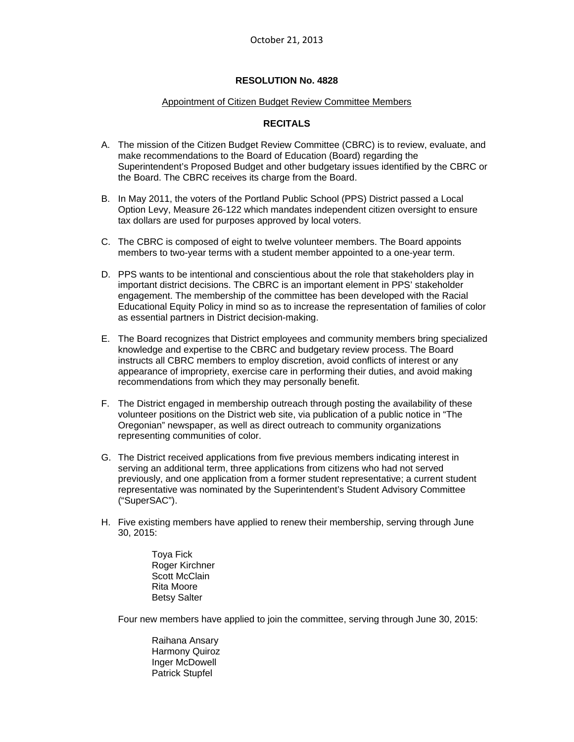#### Appointment of Citizen Budget Review Committee Members

# **RECITALS**

- A. The mission of the Citizen Budget Review Committee (CBRC) is to review, evaluate, and make recommendations to the Board of Education (Board) regarding the Superintendent's Proposed Budget and other budgetary issues identified by the CBRC or the Board. The CBRC receives its charge from the Board.
- B. In May 2011, the voters of the Portland Public School (PPS) District passed a Local Option Levy, Measure 26-122 which mandates independent citizen oversight to ensure tax dollars are used for purposes approved by local voters.
- C. The CBRC is composed of eight to twelve volunteer members. The Board appoints members to two-year terms with a student member appointed to a one-year term.
- D. PPS wants to be intentional and conscientious about the role that stakeholders play in important district decisions. The CBRC is an important element in PPS' stakeholder engagement. The membership of the committee has been developed with the Racial Educational Equity Policy in mind so as to increase the representation of families of color as essential partners in District decision-making.
- E. The Board recognizes that District employees and community members bring specialized knowledge and expertise to the CBRC and budgetary review process. The Board instructs all CBRC members to employ discretion, avoid conflicts of interest or any appearance of impropriety, exercise care in performing their duties, and avoid making recommendations from which they may personally benefit.
- F. The District engaged in membership outreach through posting the availability of these volunteer positions on the District web site, via publication of a public notice in "The Oregonian" newspaper, as well as direct outreach to community organizations representing communities of color.
- G. The District received applications from five previous members indicating interest in serving an additional term, three applications from citizens who had not served previously, and one application from a former student representative; a current student representative was nominated by the Superintendent's Student Advisory Committee ("SuperSAC").
- H. Five existing members have applied to renew their membership, serving through June 30, 2015:
	- Toya Fick Roger Kirchner Scott McClain Rita Moore Betsy Salter

Four new members have applied to join the committee, serving through June 30, 2015:

 Raihana Ansary Harmony Quiroz Inger McDowell Patrick Stupfel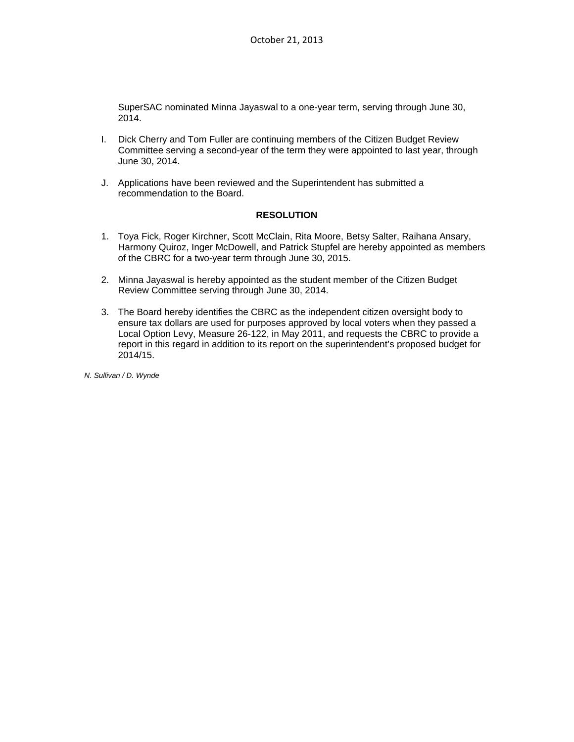SuperSAC nominated Minna Jayaswal to a one-year term, serving through June 30, 2014.

- I. Dick Cherry and Tom Fuller are continuing members of the Citizen Budget Review Committee serving a second-year of the term they were appointed to last year, through June 30, 2014.
- J. Applications have been reviewed and the Superintendent has submitted a recommendation to the Board.

### **RESOLUTION**

- 1. Toya Fick, Roger Kirchner, Scott McClain, Rita Moore, Betsy Salter, Raihana Ansary, Harmony Quiroz, Inger McDowell, and Patrick Stupfel are hereby appointed as members of the CBRC for a two-year term through June 30, 2015.
- 2. Minna Jayaswal is hereby appointed as the student member of the Citizen Budget Review Committee serving through June 30, 2014.
- 3. The Board hereby identifies the CBRC as the independent citizen oversight body to ensure tax dollars are used for purposes approved by local voters when they passed a Local Option Levy, Measure 26-122, in May 2011, and requests the CBRC to provide a report in this regard in addition to its report on the superintendent's proposed budget for 2014/15.

*N. Sullivan / D. Wynde*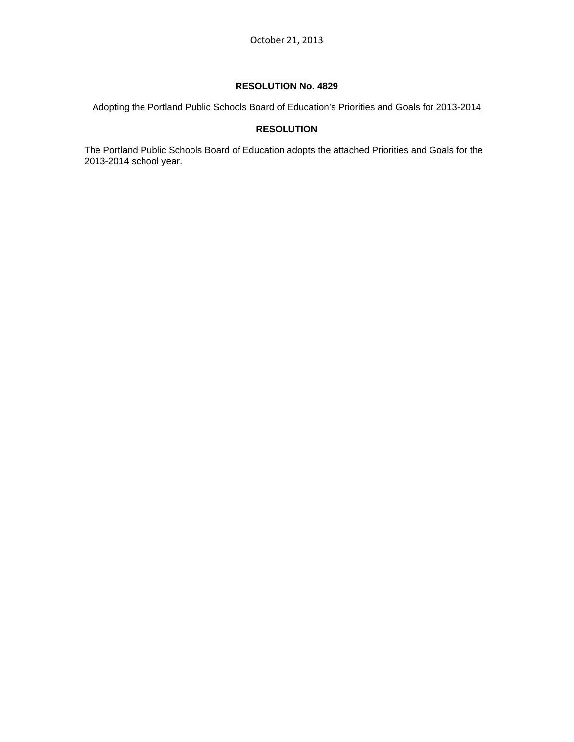Adopting the Portland Public Schools Board of Education's Priorities and Goals for 2013-2014

# **RESOLUTION**

The Portland Public Schools Board of Education adopts the attached Priorities and Goals for the 2013-2014 school year.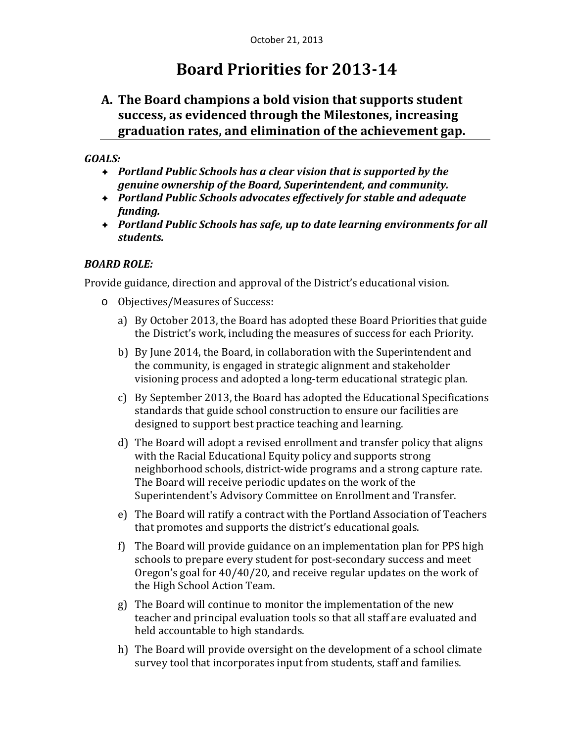# **Board Priorities for 2013‐14**

# **A. The Board champions a bold vision that supports student success, as evidenced through the Milestones, increasing graduation rates, and elimination of the achievement gap.**

# *GOALS:*

- *Portland Public Schools has a clear vision that is supported by the genuine ownership of the Board, Superintendent, and community.*
- *Portland Public Schools advocates effectively for stable and adequate funding.*
- *Portland Public Schools has safe, up to date learning environments for all students.*

# *BOARD ROLE:*

Provide guidance, direction and approval of the District's educational vision.

- o Objectives/Measures of Success:
	- a) By October 2013, the Board has adopted these Board Priorities that guide the District's work, including the measures of success for each Priority.
	- b) By June 2014, the Board, in collaboration with the Superintendent and the community, is engaged in strategic alignment and stakeholder visioning process and adopted a long-term educational strategic plan.
	- c) By September 2013, the Board has adopted the Educational Specifications standards that guide school construction to ensure our facilities are designed to support best practice teaching and learning.
	- d) The Board will adopt a revised enrollment and transfer policy that aligns with the Racial Educational Equity policy and supports strong neighborhood schools, district-wide programs and a strong capture rate. The Board will receive periodic updates on the work of the Superintendent's Advisory Committee on Enrollment and Transfer.
	- e) The Board will ratify a contract with the Portland Association of Teachers that promotes and supports the district's educational goals.
	- f) The Board will provide guidance on an implementation plan for PPS high schools to prepare every student for post-secondary success and meet Oregon's goal for  $40/40/20$ , and receive regular updates on the work of the High School Action Team.
	- g) The Board will continue to monitor the implementation of the new teacher and principal evaluation tools so that all staff are evaluated and held accountable to high standards.
	- h) The Board will provide oversight on the development of a school climate survey tool that incorporates input from students, staff and families.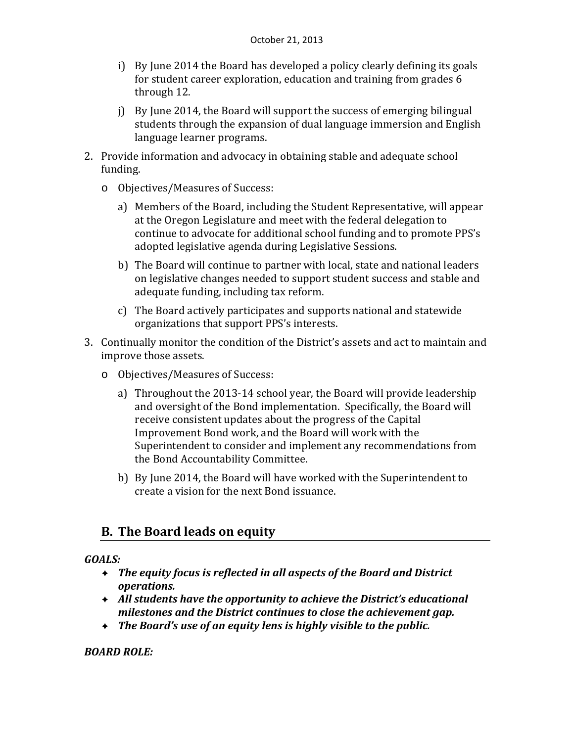- i) By June 2014 the Board has developed a policy clearly defining its goals for student career exploration, education and training from grades 6 through 12.
- j) By June  $2014$ , the Board will support the success of emerging bilingual students through the expansion of dual language immersion and English language learner programs.
- 2. Provide information and advocacy in obtaining stable and adequate school funding.
	- o Objectives/Measures of Success:
		- a) Members of the Board, including the Student Representative, will appear at the Oregon Legislature and meet with the federal delegation to continue to advocate for additional school funding and to promote PPS's adopted legislative agenda during Legislative Sessions.
		- b) The Board will continue to partner with local, state and national leaders on legislative changes needed to support student success and stable and adequate funding, including tax reform.
		- c) The Board actively participates and supports national and statewide organizations that support PPS's interests.
- 3. Continually monitor the condition of the District's assets and act to maintain and improve those assets.
	- o Objectives/Measures of Success:
		- a) Throughout the 2013-14 school year, the Board will provide leadership and oversight of the Bond implementation. Specifically, the Board will receive consistent updates about the progress of the Capital Improvement Bond work, and the Board will work with the Superintendent to consider and implement any recommendations from the Bond Accountability Committee.
		- b) By June 2014, the Board will have worked with the Superintendent to create a vision for the next Bond issuance.

# **B. The Board leads on equity**

# *GOALS:*

- *The equity focus is reflected in all aspects of the Board and District operations.*
- *All students have the opportunity to achieve the District's educational milestones and the District continues to close the achievement gap.*
- *The Board's use of an equity lens is highly visible to the public.*

*BOARD ROLE:*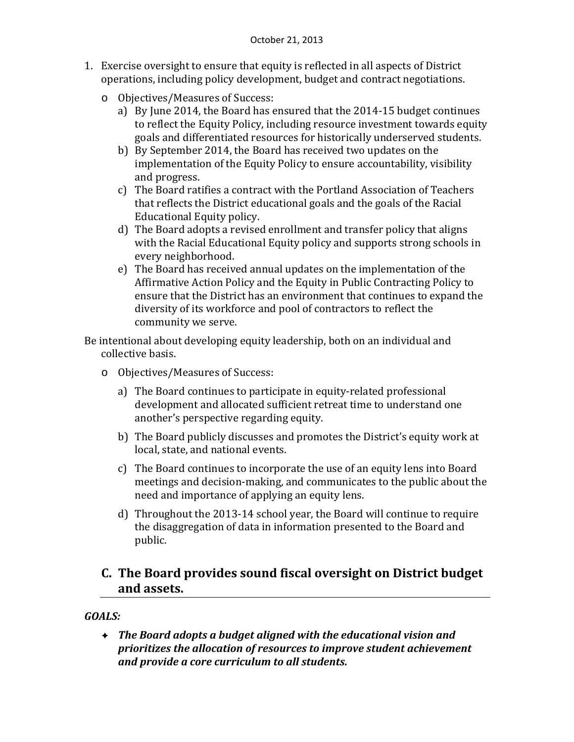- 1. Exercise oversight to ensure that equity is reflected in all aspects of District operations, including policy development, budget and contract negotiations.
	- o Objectives/Measures of Success:
		- a) By June 2014, the Board has ensured that the 2014-15 budget continues to reflect the Equity Policy, including resource investment towards equity goals and differentiated resources for historically underserved students.
		- b) By September 2014, the Board has received two updates on the implementation of the Equity Policy to ensure accountability, visibility and progress.
		- c) The Board ratifies a contract with the Portland Association of Teachers that reflects the District educational goals and the goals of the Racial Educational Equity policy.
		- d) The Board adopts a revised enrollment and transfer policy that aligns with the Racial Educational Equity policy and supports strong schools in every neighborhood.
		- e) The Board has received annual updates on the implementation of the Affirmative Action Policy and the Equity in Public Contracting Policy to ensure that the District has an environment that continues to expand the diversity of its workforce and pool of contractors to reflect the community we serve.

Be intentional about developing equity leadership, both on an individual and collective basis.

- o Objectives/Measures of Success:
	- a) The Board continues to participate in equity-related professional development and allocated sufficient retreat time to understand one another's perspective regarding equity.
	- b) The Board publicly discusses and promotes the District's equity work at local, state, and national events.
	- c) The Board continues to incorporate the use of an equity lens into Board meetings and decision-making, and communicates to the public about the need and importance of applying an equity lens.
	- d) Throughout the  $2013-14$  school year, the Board will continue to require the disaggregation of data in information presented to the Board and public.

# **C. The Board provides sound fiscal oversight on District budget and assets.**

# *GOALS:*

 *The Board adopts a budget aligned with the educational vision and prioritizes the allocation of resources to improve student achievement and provide a core curriculum to all students.*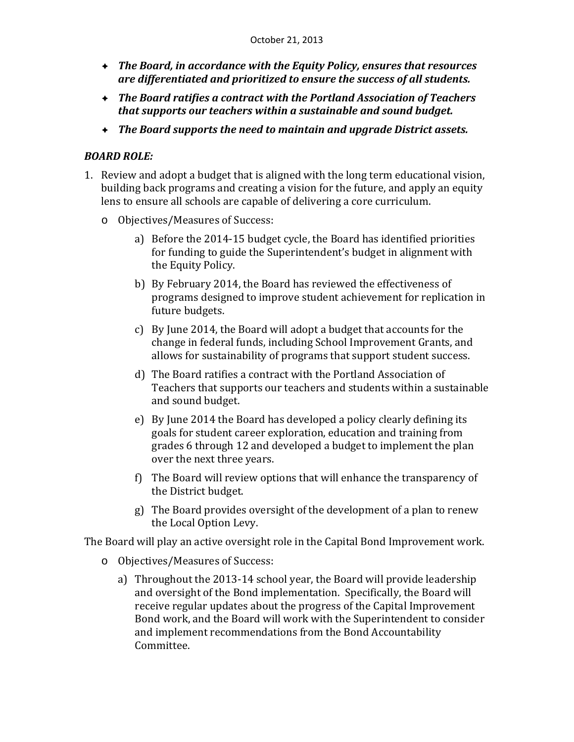- *The Board, in accordance with the Equity Policy, ensures that resources are differentiated and prioritized to ensure the success of all students.*
- *The Board ratifies a contract with the Portland Association of Teachers that supports our teachers within a sustainable and sound budget.*
- *The Board supports the need to maintain and upgrade District assets.*

# *BOARD ROLE:*

- 1. Review and adopt a budget that is aligned with the long term educational vision, building back programs and creating a vision for the future, and apply an equity lens to ensure all schools are capable of delivering a core curriculum.
	- o Objectives/Measures of Success:
		- a) Before the 2014-15 budget cycle, the Board has identified priorities for funding to guide the Superintendent's budget in alignment with the Equity Policy.
		- b) By February 2014, the Board has reviewed the effectiveness of programs designed to improve student achievement for replication in future budgets.
		- c) By June 2014, the Board will adopt a budget that accounts for the change in federal funds, including School Improvement Grants, and allows for sustainability of programs that support student success.
		- d) The Board ratifies a contract with the Portland Association of Teachers that supports our teachers and students within a sustainable and sound budget.
		- e) By June 2014 the Board has developed a policy clearly defining its goals for student career exploration, education and training from grades 6 through 12 and developed a budget to implement the plan over the next three years.
		- f) The Board will review options that will enhance the transparency of the District budget.
		- g) The Board provides oversight of the development of a plan to renew the Local Option Levy.

The Board will play an active oversight role in the Capital Bond Improvement work.

- o Objectives/Measures of Success:
	- a) Throughout the  $2013-14$  school year, the Board will provide leadership and oversight of the Bond implementation. Specifically, the Board will receive regular updates about the progress of the Capital Improvement Bond work, and the Board will work with the Superintendent to consider and implement recommendations from the Bond Accountability Committee.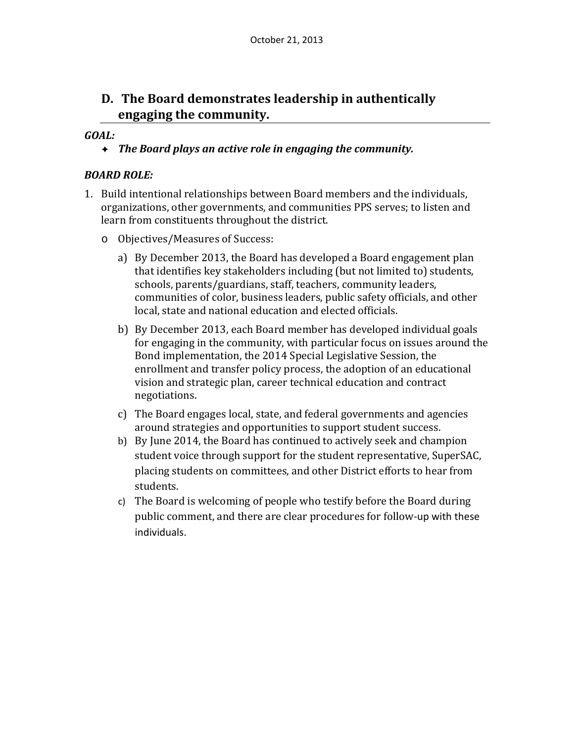# **D. The Board demonstrates leadership in authentically engaging the community.**

# *GOAL:*

*The Board plays an active role in engaging the community.*

# *BOARD ROLE:*

- 1. Build intentional relationships between Board members and the individuals, organizations, other governments, and communities PPS serves; to listen and learn from constituents throughout the district.
	- o Objectives/Measures of Success:
		- a) By December 2013, the Board has developed a Board engagement plan that identifies key stakeholders including (but not limited to) students, schools, parents/guardians, staff, teachers, community leaders, communities of color, business leaders, public safety officials, and other local, state and national education and elected officials.
		- b) By December 2013, each Board member has developed individual goals for engaging in the community, with particular focus on issues around the Bond implementation, the 2014 Special Legislative Session, the enrollment and transfer policy process, the adoption of an educational vision and strategic plan, career technical education and contract negotiations.
		- c) The Board engages local, state, and federal governments and agencies around strategies and opportunities to support student success.
		- b) By June 2014, the Board has continued to actively seek and champion student voice through support for the student representative, SuperSAC, placing students on committees, and other District efforts to hear from students.
		- c) The Board is welcoming of people who testify before the Board during public comment, and there are clear procedures for follow-up with these individuals.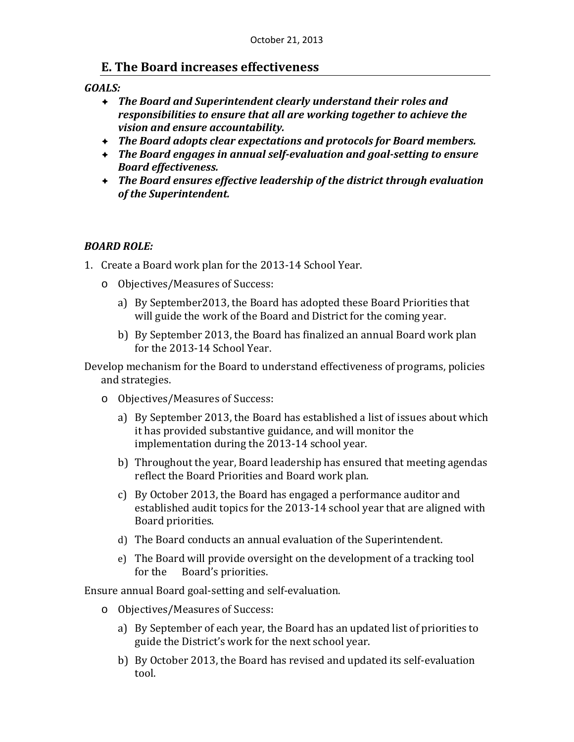# **E. The Board increases effectiveness**

# *GOALS:*

- *The Board and Superintendent clearly understand their roles and responsibilities to ensure that all are working together to achieve the vision and ensure accountability.*
- *The Board adopts clear expectations and protocols for Board members.*
- *The Board engages in annual self‐evaluation and goal‐setting to ensure Board effectiveness.*
- *The Board ensures effective leadership of the district through evaluation of the Superintendent.*

# *BOARD ROLE:*

- 1. Create a Board work plan for the 2013-14 School Year.
	- o Objectives/Measures of Success:
		- a) By September 2013, the Board has adopted these Board Priorities that will guide the work of the Board and District for the coming year.
		- b) By September 2013, the Board has finalized an annual Board work plan for the 2013-14 School Year.

Develop mechanism for the Board to understand effectiveness of programs, policies and strategies.

- o Objectives/Measures of Success:
	- a) By September 2013, the Board has established a list of issues about which it has provided substantive guidance, and will monitor the implementation during the 2013-14 school year.
	- b) Throughout the year, Board leadership has ensured that meeting agendas reflect the Board Priorities and Board work plan.
	- c) By October 2013, the Board has engaged a performance auditor and established audit topics for the 2013-14 school year that are aligned with Board priorities.
	- d) The Board conducts an annual evaluation of the Superintendent.
	- e) The Board will provide oversight on the development of a tracking tool for the Board's priorities.

Ensure annual Board goal-setting and self-evaluation.

- o Objectives/Measures of Success:
	- a) By September of each year, the Board has an updated list of priorities to guide the District's work for the next school year.
	- b) By October 2013, the Board has revised and updated its self-evaluation tool.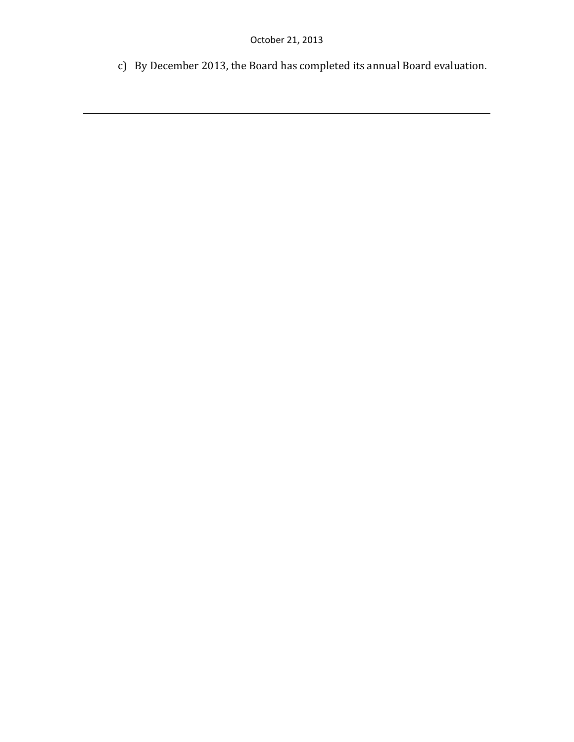c) By December 2013, the Board has completed its annual Board evaluation.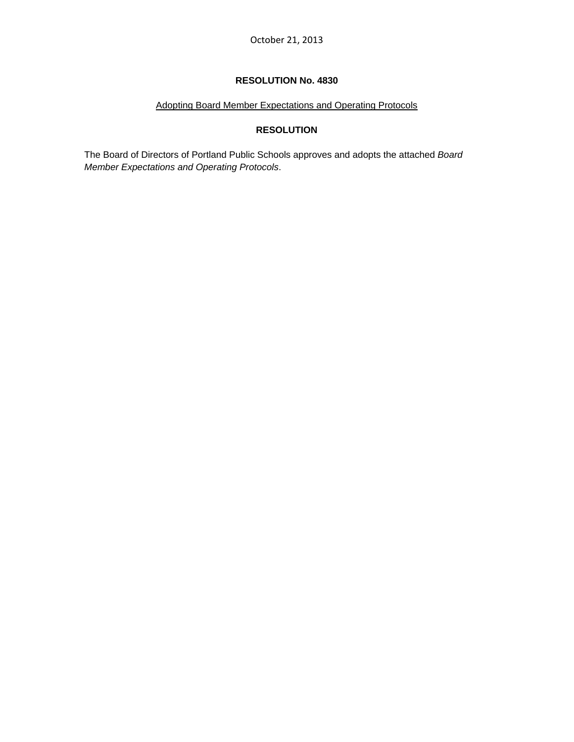# Adopting Board Member Expectations and Operating Protocols

# **RESOLUTION**

The Board of Directors of Portland Public Schools approves and adopts the attached *Board Member Expectations and Operating Protocols*.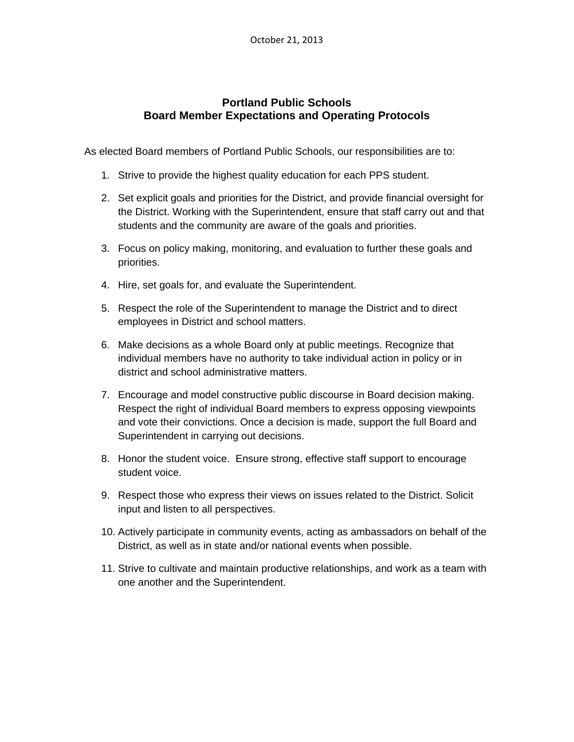# **Portland Public Schools Board Member Expectations and Operating Protocols**

As elected Board members of Portland Public Schools, our responsibilities are to:

- 1. Strive to provide the highest quality education for each PPS student.
- 2. Set explicit goals and priorities for the District, and provide financial oversight for the District. Working with the Superintendent, ensure that staff carry out and that students and the community are aware of the goals and priorities.
- 3. Focus on policy making, monitoring, and evaluation to further these goals and priorities.
- 4. Hire, set goals for, and evaluate the Superintendent.
- 5. Respect the role of the Superintendent to manage the District and to direct employees in District and school matters.
- 6. Make decisions as a whole Board only at public meetings. Recognize that individual members have no authority to take individual action in policy or in district and school administrative matters.
- 7. Encourage and model constructive public discourse in Board decision making. Respect the right of individual Board members to express opposing viewpoints and vote their convictions. Once a decision is made, support the full Board and Superintendent in carrying out decisions.
- 8. Honor the student voice. Ensure strong, effective staff support to encourage student voice.
- 9. Respect those who express their views on issues related to the District. Solicit input and listen to all perspectives.
- 10. Actively participate in community events, acting as ambassadors on behalf of the District, as well as in state and/or national events when possible.
- 11. Strive to cultivate and maintain productive relationships, and work as a team with one another and the Superintendent.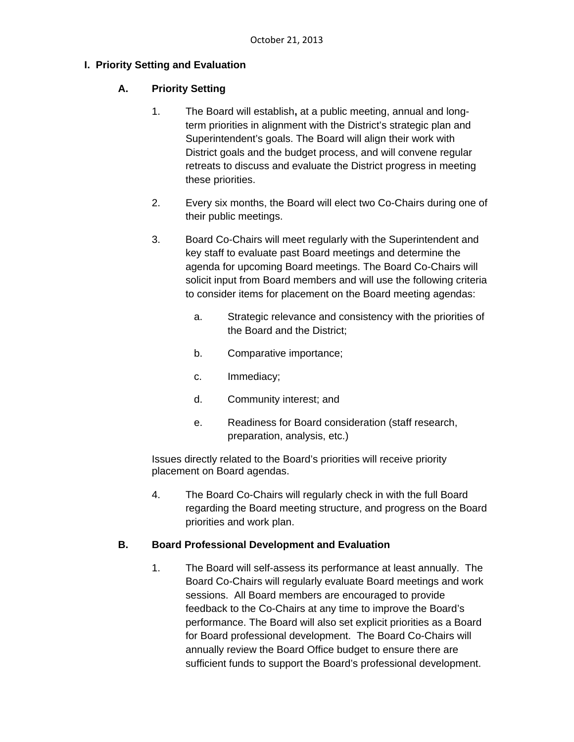# **I. Priority Setting and Evaluation**

# **A. Priority Setting**

- 1. The Board will establish**,** at a public meeting, annual and longterm priorities in alignment with the District's strategic plan and Superintendent's goals. The Board will align their work with District goals and the budget process, and will convene regular retreats to discuss and evaluate the District progress in meeting these priorities.
- 2. Every six months, the Board will elect two Co-Chairs during one of their public meetings.
- 3. Board Co-Chairs will meet regularly with the Superintendent and key staff to evaluate past Board meetings and determine the agenda for upcoming Board meetings. The Board Co-Chairs will solicit input from Board members and will use the following criteria to consider items for placement on the Board meeting agendas:
	- a. Strategic relevance and consistency with the priorities of the Board and the District;
	- b. Comparative importance;
	- c. Immediacy;
	- d. Community interest; and
	- e. Readiness for Board consideration (staff research, preparation, analysis, etc.)

Issues directly related to the Board's priorities will receive priority placement on Board agendas.

4. The Board Co-Chairs will regularly check in with the full Board regarding the Board meeting structure, and progress on the Board priorities and work plan.

# **B. Board Professional Development and Evaluation**

1. The Board will self-assess its performance at least annually. The Board Co-Chairs will regularly evaluate Board meetings and work sessions. All Board members are encouraged to provide feedback to the Co-Chairs at any time to improve the Board's performance. The Board will also set explicit priorities as a Board for Board professional development. The Board Co-Chairs will annually review the Board Office budget to ensure there are sufficient funds to support the Board's professional development.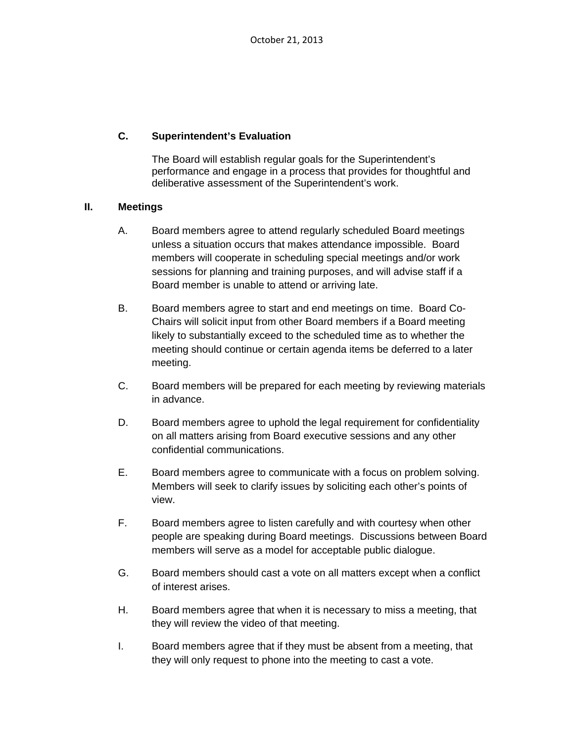# **C. Superintendent's Evaluation**

The Board will establish regular goals for the Superintendent's performance and engage in a process that provides for thoughtful and deliberative assessment of the Superintendent's work.

# **II. Meetings**

- A. Board members agree to attend regularly scheduled Board meetings unless a situation occurs that makes attendance impossible. Board members will cooperate in scheduling special meetings and/or work sessions for planning and training purposes, and will advise staff if a Board member is unable to attend or arriving late.
- B. Board members agree to start and end meetings on time. Board Co-Chairs will solicit input from other Board members if a Board meeting likely to substantially exceed to the scheduled time as to whether the meeting should continue or certain agenda items be deferred to a later meeting.
- C. Board members will be prepared for each meeting by reviewing materials in advance.
- D. Board members agree to uphold the legal requirement for confidentiality on all matters arising from Board executive sessions and any other confidential communications.
- E. Board members agree to communicate with a focus on problem solving. Members will seek to clarify issues by soliciting each other's points of view.
- F. Board members agree to listen carefully and with courtesy when other people are speaking during Board meetings. Discussions between Board members will serve as a model for acceptable public dialogue.
- G. Board members should cast a vote on all matters except when a conflict of interest arises.
- H. Board members agree that when it is necessary to miss a meeting, that they will review the video of that meeting.
- I. Board members agree that if they must be absent from a meeting, that they will only request to phone into the meeting to cast a vote.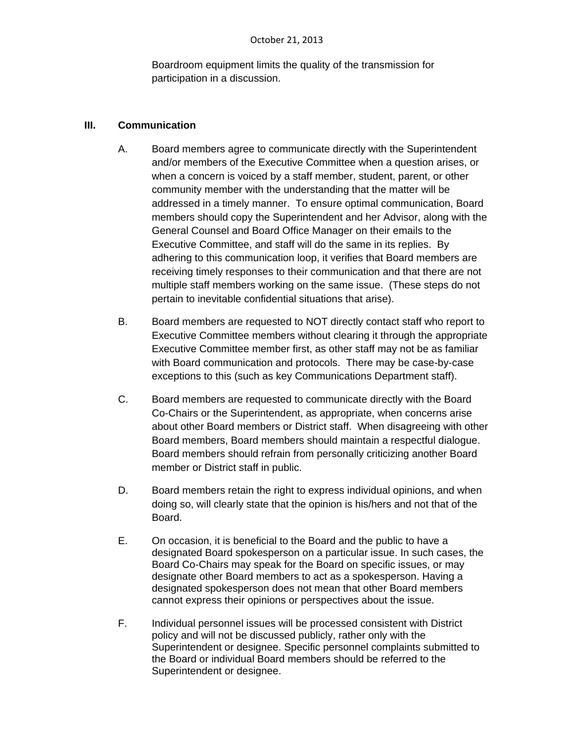Boardroom equipment limits the quality of the transmission for participation in a discussion.

# **III. Communication**

- A. Board members agree to communicate directly with the Superintendent and/or members of the Executive Committee when a question arises, or when a concern is voiced by a staff member, student, parent, or other community member with the understanding that the matter will be addressed in a timely manner. To ensure optimal communication, Board members should copy the Superintendent and her Advisor, along with the General Counsel and Board Office Manager on their emails to the Executive Committee, and staff will do the same in its replies. By adhering to this communication loop, it verifies that Board members are receiving timely responses to their communication and that there are not multiple staff members working on the same issue. (These steps do not pertain to inevitable confidential situations that arise).
- B. Board members are requested to NOT directly contact staff who report to Executive Committee members without clearing it through the appropriate Executive Committee member first, as other staff may not be as familiar with Board communication and protocols. There may be case-by-case exceptions to this (such as key Communications Department staff).
- C. Board members are requested to communicate directly with the Board Co-Chairs or the Superintendent, as appropriate, when concerns arise about other Board members or District staff. When disagreeing with other Board members, Board members should maintain a respectful dialogue. Board members should refrain from personally criticizing another Board member or District staff in public.
- D. Board members retain the right to express individual opinions, and when doing so, will clearly state that the opinion is his/hers and not that of the Board.
- E. On occasion, it is beneficial to the Board and the public to have a designated Board spokesperson on a particular issue. In such cases, the Board Co-Chairs may speak for the Board on specific issues, or may designate other Board members to act as a spokesperson. Having a designated spokesperson does not mean that other Board members cannot express their opinions or perspectives about the issue.
- F. Individual personnel issues will be processed consistent with District policy and will not be discussed publicly, rather only with the Superintendent or designee. Specific personnel complaints submitted to the Board or individual Board members should be referred to the Superintendent or designee.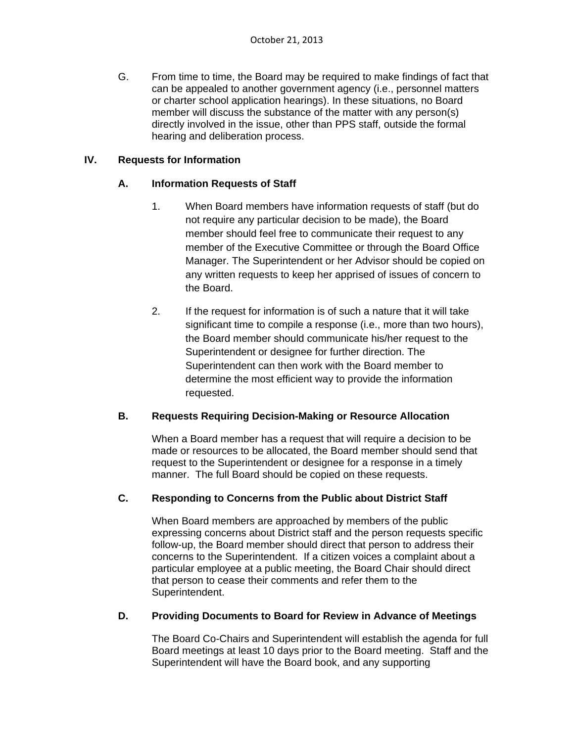G. From time to time, the Board may be required to make findings of fact that can be appealed to another government agency (i.e., personnel matters or charter school application hearings). In these situations, no Board member will discuss the substance of the matter with any person(s) directly involved in the issue, other than PPS staff, outside the formal hearing and deliberation process.

# **IV. Requests for Information**

# **A. Information Requests of Staff**

- 1. When Board members have information requests of staff (but do not require any particular decision to be made), the Board member should feel free to communicate their request to any member of the Executive Committee or through the Board Office Manager. The Superintendent or her Advisor should be copied on any written requests to keep her apprised of issues of concern to the Board.
- 2. If the request for information is of such a nature that it will take significant time to compile a response (i.e., more than two hours), the Board member should communicate his/her request to the Superintendent or designee for further direction. The Superintendent can then work with the Board member to determine the most efficient way to provide the information requested.

# **B. Requests Requiring Decision-Making or Resource Allocation**

When a Board member has a request that will require a decision to be made or resources to be allocated, the Board member should send that request to the Superintendent or designee for a response in a timely manner. The full Board should be copied on these requests.

# **C. Responding to Concerns from the Public about District Staff**

When Board members are approached by members of the public expressing concerns about District staff and the person requests specific follow-up, the Board member should direct that person to address their concerns to the Superintendent. If a citizen voices a complaint about a particular employee at a public meeting, the Board Chair should direct that person to cease their comments and refer them to the Superintendent.

# **D. Providing Documents to Board for Review in Advance of Meetings**

The Board Co-Chairs and Superintendent will establish the agenda for full Board meetings at least 10 days prior to the Board meeting. Staff and the Superintendent will have the Board book, and any supporting